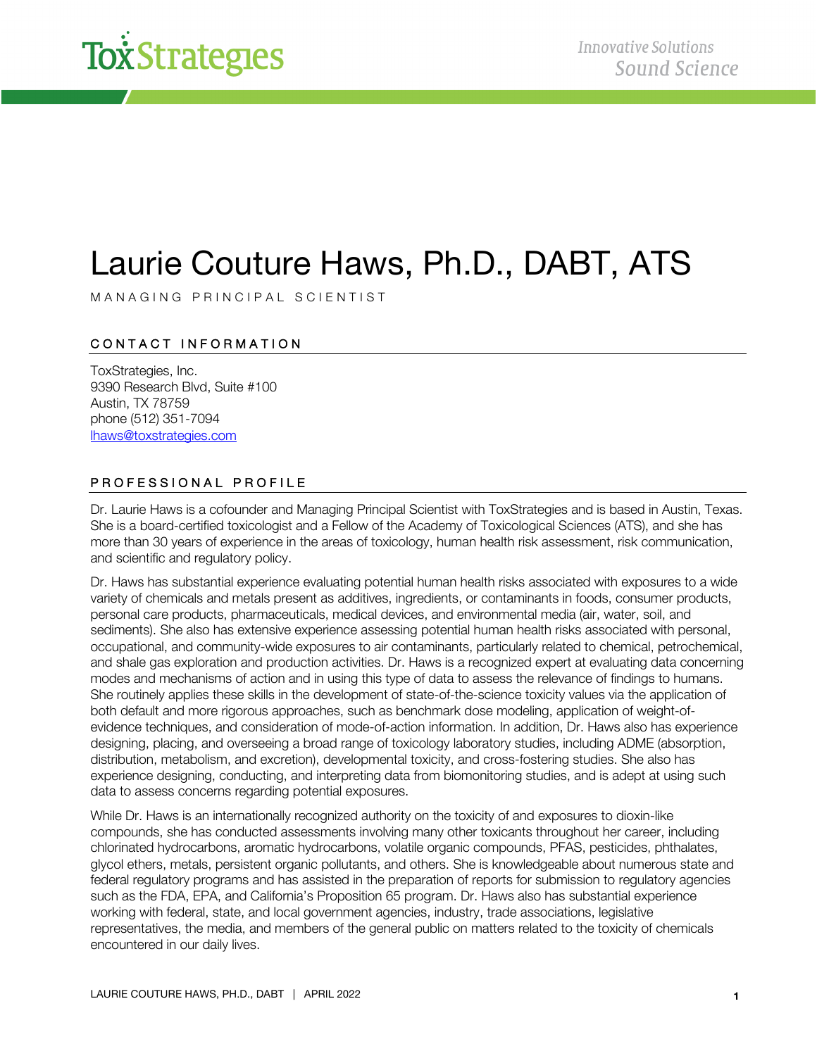

### Laurie Couture Haws, Ph.D., DABT, ATS

MANAGING PRINCIPAL SCIENTIST

### CONTACT INFORMATION

ToxStrategies, Inc. 9390 Research Blvd, Suite #100 Austin, TX 78759 phone (512) 351-7094 lhaws@toxstrategies.com

#### PROFESSIONAL PROFILE

Dr. Laurie Haws is a cofounder and Managing Principal Scientist with ToxStrategies and is based in Austin, Texas. She is a board-certified toxicologist and a Fellow of the Academy of Toxicological Sciences (ATS), and she has more than 30 years of experience in the areas of toxicology, human health risk assessment, risk communication, and scientific and regulatory policy.

Dr. Haws has substantial experience evaluating potential human health risks associated with exposures to a wide variety of chemicals and metals present as additives, ingredients, or contaminants in foods, consumer products, personal care products, pharmaceuticals, medical devices, and environmental media (air, water, soil, and sediments). She also has extensive experience assessing potential human health risks associated with personal, occupational, and community-wide exposures to air contaminants, particularly related to chemical, petrochemical, and shale gas exploration and production activities. Dr. Haws is a recognized expert at evaluating data concerning modes and mechanisms of action and in using this type of data to assess the relevance of findings to humans. She routinely applies these skills in the development of state-of-the-science toxicity values via the application of both default and more rigorous approaches, such as benchmark dose modeling, application of weight-ofevidence techniques, and consideration of mode-of-action information. In addition, Dr. Haws also has experience designing, placing, and overseeing a broad range of toxicology laboratory studies, including ADME (absorption, distribution, metabolism, and excretion), developmental toxicity, and cross-fostering studies. She also has experience designing, conducting, and interpreting data from biomonitoring studies, and is adept at using such data to assess concerns regarding potential exposures.

While Dr. Haws is an internationally recognized authority on the toxicity of and exposures to dioxin-like compounds, she has conducted assessments involving many other toxicants throughout her career, including chlorinated hydrocarbons, aromatic hydrocarbons, volatile organic compounds, PFAS, pesticides, phthalates, glycol ethers, metals, persistent organic pollutants, and others. She is knowledgeable about numerous state and federal regulatory programs and has assisted in the preparation of reports for submission to regulatory agencies such as the FDA, EPA, and California's Proposition 65 program. Dr. Haws also has substantial experience working with federal, state, and local government agencies, industry, trade associations, legislative representatives, the media, and members of the general public on matters related to the toxicity of chemicals encountered in our daily lives.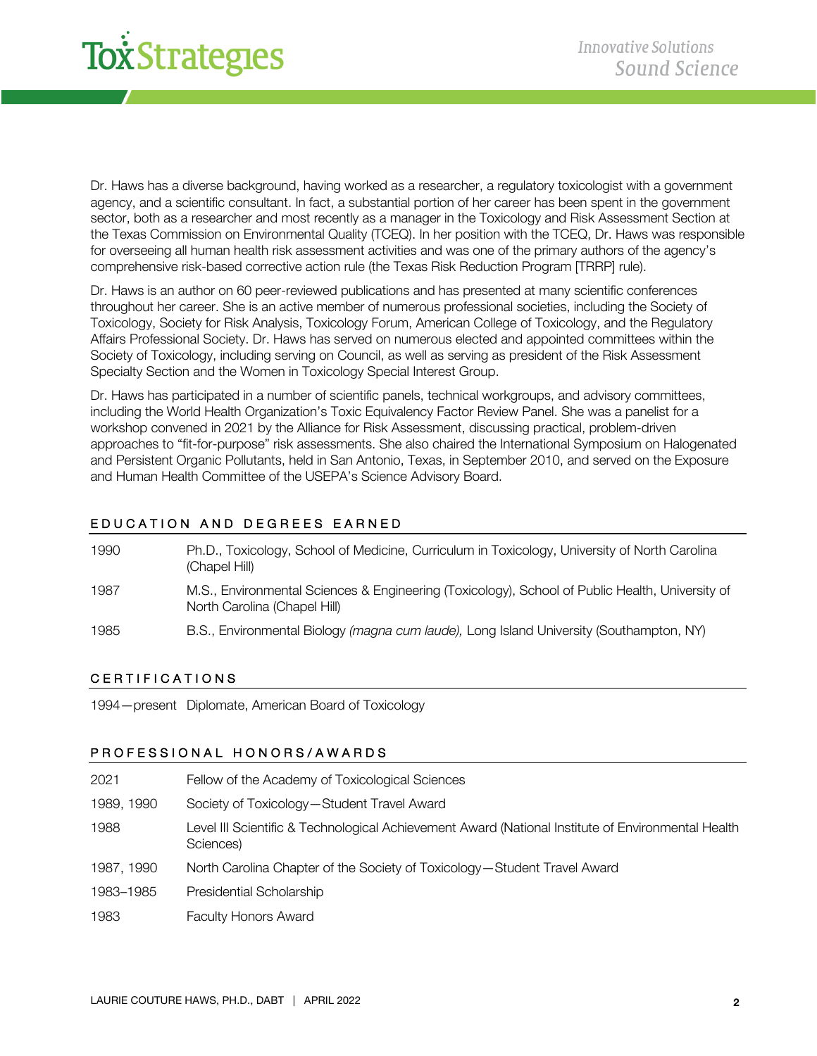

Dr. Haws has a diverse background, having worked as a researcher, a regulatory toxicologist with a government agency, and a scientific consultant. In fact, a substantial portion of her career has been spent in the government sector, both as a researcher and most recently as a manager in the Toxicology and Risk Assessment Section at the Texas Commission on Environmental Quality (TCEQ). In her position with the TCEQ, Dr. Haws was responsible for overseeing all human health risk assessment activities and was one of the primary authors of the agency's comprehensive risk-based corrective action rule (the Texas Risk Reduction Program [TRRP] rule).

Dr. Haws is an author on 60 peer-reviewed publications and has presented at many scientific conferences throughout her career. She is an active member of numerous professional societies, including the Society of Toxicology, Society for Risk Analysis, Toxicology Forum, American College of Toxicology, and the Regulatory Affairs Professional Society. Dr. Haws has served on numerous elected and appointed committees within the Society of Toxicology, including serving on Council, as well as serving as president of the Risk Assessment Specialty Section and the Women in Toxicology Special Interest Group.

Dr. Haws has participated in a number of scientific panels, technical workgroups, and advisory committees, including the World Health Organization's Toxic Equivalency Factor Review Panel. She was a panelist for a workshop convened in 2021 by the Alliance for Risk Assessment, discussing practical, problem-driven approaches to "fit-for-purpose" risk assessments. She also chaired the International Symposium on Halogenated and Persistent Organic Pollutants, held in San Antonio, Texas, in September 2010, and served on the Exposure and Human Health Committee of the USEPA's Science Advisory Board.

### EDUCATION AND DEGREES EARNED

| 1990 | Ph.D., Toxicology, School of Medicine, Curriculum in Toxicology, University of North Carolina<br>(Chapel Hill)                  |
|------|---------------------------------------------------------------------------------------------------------------------------------|
| 1987 | M.S., Environmental Sciences & Engineering (Toxicology), School of Public Health, University of<br>North Carolina (Chapel Hill) |
| 1985 | B.S., Environmental Biology (magna cum laude), Long Island University (Southampton, NY)                                         |

#### CERTIFICATIONS

1994—present Diplomate, American Board of Toxicology

#### PROF ESSIONAL HONORS/AWARDS

| 2021       | Fellow of the Academy of Toxicological Sciences                                                                 |
|------------|-----------------------------------------------------------------------------------------------------------------|
| 1989, 1990 | Society of Toxicology-Student Travel Award                                                                      |
| 1988       | Level III Scientific & Technological Achievement Award (National Institute of Environmental Health<br>Sciences) |
| 1987, 1990 | North Carolina Chapter of the Society of Toxicology-Student Travel Award                                        |
| 1983-1985  | Presidential Scholarship                                                                                        |
| 1983       | <b>Faculty Honors Award</b>                                                                                     |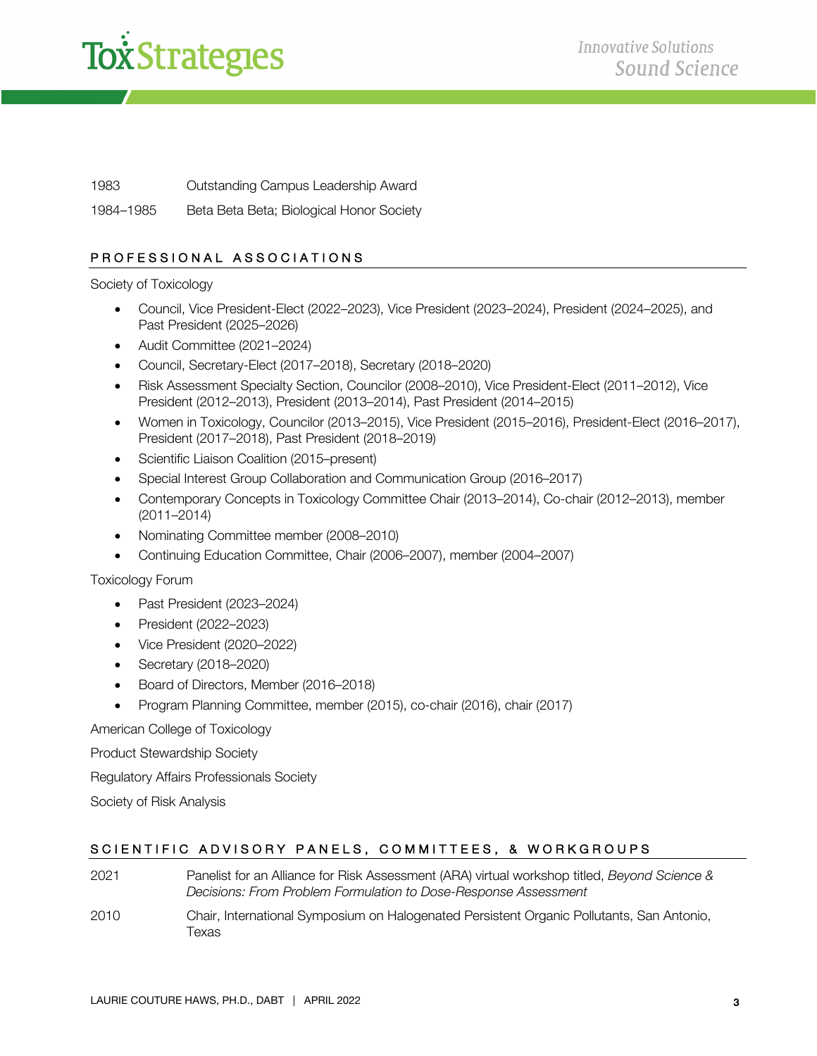

1983 Outstanding Campus Leadership Award

1984–1985 Beta Beta Beta; Biological Honor Society

### PROFESSIONAL ASSOCIATIONS

Society of Toxicology

- Council, Vice President-Elect (2022–2023), Vice President (2023–2024), President (2024–2025), and Past President (2025–2026)
- Audit Committee (2021–2024)
- Council, Secretary-Elect (2017–2018), Secretary (2018–2020)
- Risk Assessment Specialty Section, Councilor (2008–2010), Vice President-Elect (2011–2012), Vice President (2012–2013), President (2013–2014), Past President (2014–2015)
- Women in Toxicology, Councilor (2013–2015), Vice President (2015–2016), President-Elect (2016–2017), President (2017–2018), Past President (2018–2019)
- Scientific Liaison Coalition (2015–present)
- Special Interest Group Collaboration and Communication Group (2016–2017)
- Contemporary Concepts in Toxicology Committee Chair (2013–2014), Co-chair (2012–2013), member (2011–2014)
- Nominating Committee member (2008–2010)
- Continuing Education Committee, Chair (2006–2007), member (2004–2007)

Toxicology Forum

- Past President (2023–2024)
- President (2022–2023)
- Vice President (2020–2022)
- Secretary (2018–2020)
- Board of Directors, Member (2016–2018)
- Program Planning Committee, member (2015), co-chair (2016), chair (2017)

American College of Toxicology

Product Stewardship Society

Regulatory Affairs Professionals Society

Society of Risk Analysis

### SCIENTIFIC ADVISORY PANELS, COMMITTEES, & WORKGROUPS

- 2021 Panelist for an Alliance for Risk Assessment (ARA) virtual workshop titled, *Beyond Science & Decisions: From Problem Formulation to Dose-Response Assessment*
- 2010 Chair, International Symposium on Halogenated Persistent Organic Pollutants, San Antonio, Texas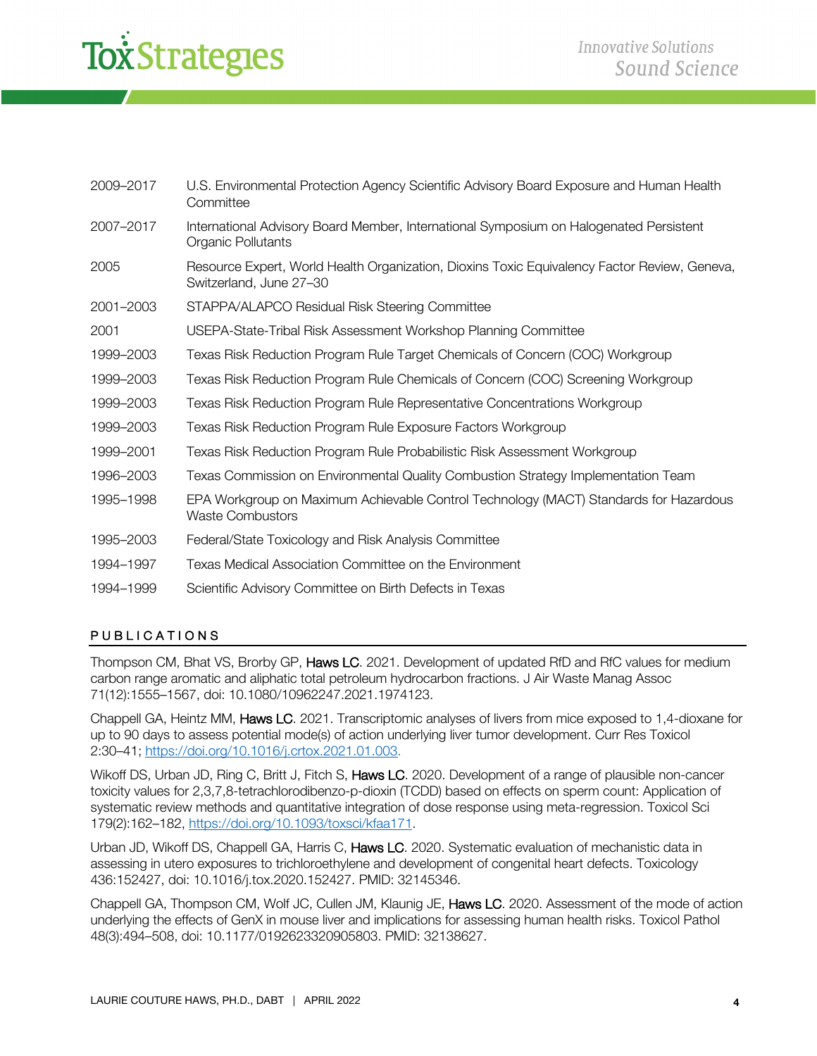| 2009-2017 | U.S. Environmental Protection Agency Scientific Advisory Board Exposure and Human Health<br>Committee                   |
|-----------|-------------------------------------------------------------------------------------------------------------------------|
| 2007-2017 | International Advisory Board Member, International Symposium on Halogenated Persistent<br>Organic Pollutants            |
| 2005      | Resource Expert, World Health Organization, Dioxins Toxic Equivalency Factor Review, Geneva,<br>Switzerland, June 27-30 |
| 2001-2003 | STAPPA/ALAPCO Residual Risk Steering Committee                                                                          |
| 2001      | USEPA-State-Tribal Risk Assessment Workshop Planning Committee                                                          |
| 1999-2003 | Texas Risk Reduction Program Rule Target Chemicals of Concern (COC) Workgroup                                           |
| 1999-2003 | Texas Risk Reduction Program Rule Chemicals of Concern (COC) Screening Workgroup                                        |
| 1999-2003 | Texas Risk Reduction Program Rule Representative Concentrations Workgroup                                               |
| 1999-2003 | Texas Risk Reduction Program Rule Exposure Factors Workgroup                                                            |
| 1999-2001 | Texas Risk Reduction Program Rule Probabilistic Risk Assessment Workgroup                                               |
| 1996-2003 | Texas Commission on Environmental Quality Combustion Strategy Implementation Team                                       |
| 1995–1998 | EPA Workgroup on Maximum Achievable Control Technology (MACT) Standards for Hazardous<br><b>Waste Combustors</b>        |
| 1995-2003 | Federal/State Toxicology and Risk Analysis Committee                                                                    |
| 1994-1997 | Texas Medical Association Committee on the Environment                                                                  |
| 1994-1999 | Scientific Advisory Committee on Birth Defects in Texas                                                                 |

### PUBLICATIONS

Thompson CM, Bhat VS, Brorby GP, Haws LC. 2021. Development of updated RfD and RfC values for medium carbon range aromatic and aliphatic total petroleum hydrocarbon fractions. J Air Waste Manag Assoc 71(12):1555–1567, doi: 10.1080/10962247.2021.1974123.

Chappell GA, Heintz MM, Haws LC. 2021. Transcriptomic analyses of livers from mice exposed to 1,4-dioxane for up to 90 days to assess potential mode(s) of action underlying liver tumor development. Curr Res Toxicol 2:30–41; https://doi.org/10.1016/j.crtox.2021.01.003.

Wikoff DS, Urban JD, Ring C, Britt J, Fitch S, Haws LC. 2020. Development of a range of plausible non-cancer toxicity values for 2,3,7,8-tetrachlorodibenzo-p-dioxin (TCDD) based on effects on sperm count: Application of systematic review methods and quantitative integration of dose response using meta-regression. Toxicol Sci 179(2):162–182, https://doi.org/10.1093/toxsci/kfaa171.

Urban JD, Wikoff DS, Chappell GA, Harris C, Haws LC. 2020. Systematic evaluation of mechanistic data in assessing in utero exposures to trichloroethylene and development of congenital heart defects. Toxicology 436:152427, doi: 10.1016/j.tox.2020.152427. PMID: 32145346.

Chappell GA, Thompson CM, Wolf JC, Cullen JM, Klaunig JE, Haws LC. 2020. Assessment of the mode of action underlying the effects of GenX in mouse liver and implications for assessing human health risks. Toxicol Pathol 48(3):494–508, doi: 10.1177/0192623320905803. PMID: 32138627.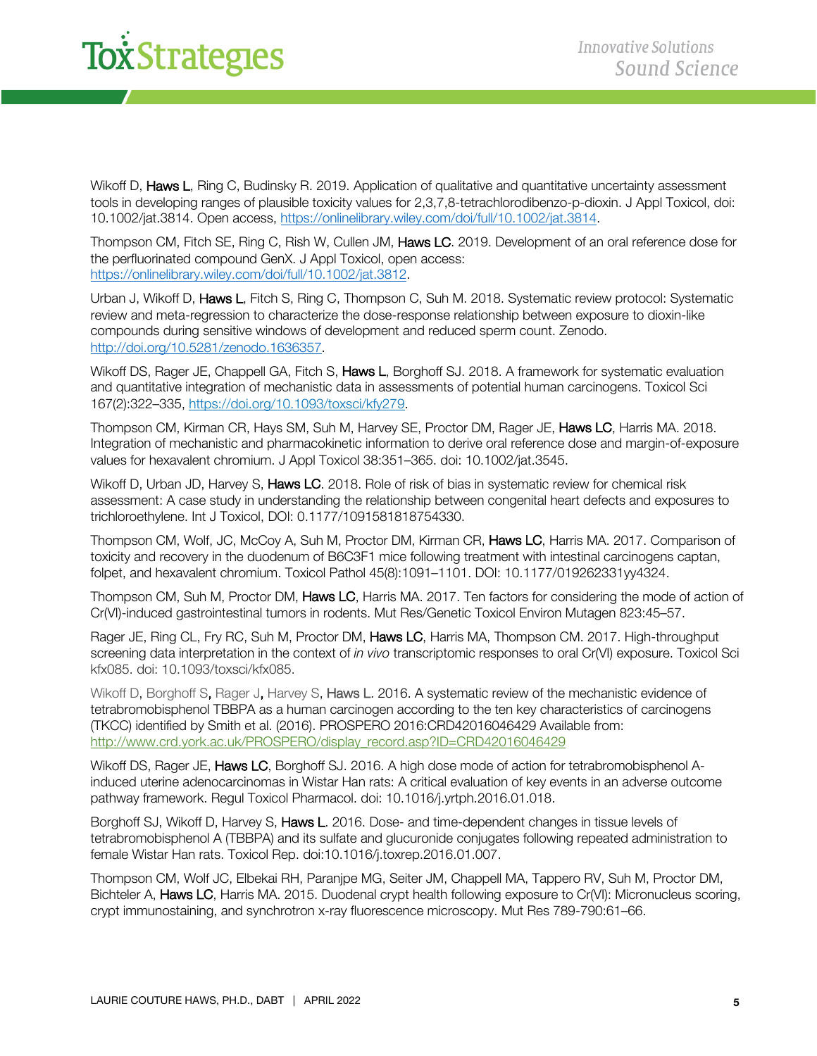Wikoff D, Haws L, Ring C, Budinsky R, 2019. Application of qualitative and quantitative uncertainty assessment tools in developing ranges of plausible toxicity values for 2,3,7,8-tetrachlorodibenzo-p-dioxin. J Appl Toxicol, doi: 10.1002/jat.3814. Open access, https://onlinelibrary.wiley.com/doi/full/10.1002/jat.3814.

Thompson CM, Fitch SE, Ring C, Rish W, Cullen JM, Haws LC. 2019. Development of an oral reference dose for the perfluorinated compound GenX. J Appl Toxicol, open access: https://onlinelibrary.wiley.com/doi/full/10.1002/jat.3812.

Urban J, Wikoff D, Haws L, Fitch S, Ring C, Thompson C, Suh M. 2018. Systematic review protocol: Systematic review and meta-regression to characterize the dose-response relationship between exposure to dioxin-like compounds during sensitive windows of development and reduced sperm count. Zenodo. http://doi.org/10.5281/zenodo.1636357.

Wikoff DS, Rager JE, Chappell GA, Fitch S, Haws L, Borghoff SJ. 2018. A framework for systematic evaluation and quantitative integration of mechanistic data in assessments of potential human carcinogens. Toxicol Sci 167(2):322–335, https://doi.org/10.1093/toxsci/kfy279.

Thompson CM, Kirman CR, Hays SM, Suh M, Harvey SE, Proctor DM, Rager JE, Haws LC, Harris MA. 2018. Integration of mechanistic and pharmacokinetic information to derive oral reference dose and margin-of-exposure values for hexavalent chromium. J Appl Toxicol 38:351–365. doi: 10.1002/jat.3545.

Wikoff D, Urban JD, Harvey S, Haws LC. 2018. Role of risk of bias in systematic review for chemical risk assessment: A case study in understanding the relationship between congenital heart defects and exposures to trichloroethylene. Int J Toxicol, DOI: 0.1177/1091581818754330.

Thompson CM, Wolf, JC, McCoy A, Suh M, Proctor DM, Kirman CR, Haws LC, Harris MA. 2017. Comparison of toxicity and recovery in the duodenum of B6C3F1 mice following treatment with intestinal carcinogens captan, folpet, and hexavalent chromium. Toxicol Pathol 45(8):1091–1101. DOI: 10.1177/019262331yy4324.

Thompson CM, Suh M, Proctor DM, Haws LC, Harris MA, 2017. Ten factors for considering the mode of action of Cr(VI)-induced gastrointestinal tumors in rodents. Mut Res/Genetic Toxicol Environ Mutagen 823:45–57.

Rager JE, Ring CL, Fry RC, Suh M, Proctor DM, Haws LC, Harris MA, Thompson CM. 2017. High-throughput screening data interpretation in the context of *in vivo* transcriptomic responses to oral Cr(VI) exposure. Toxicol Sci kfx085. doi: 10.1093/toxsci/kfx085.

Wikoff D, Borghoff S, Rager J, Harvey S, Haws L. 2016. A systematic review of the mechanistic evidence of tetrabromobisphenol TBBPA as a human carcinogen according to the ten key characteristics of carcinogens (TKCC) identified by Smith et al. (2016). PROSPERO 2016:CRD42016046429 Available from: http://www.crd.york.ac.uk/PROSPERO/display\_record.asp?ID=CRD42016046429

Wikoff DS, Rager JE, Haws LC, Borghoff SJ. 2016. A high dose mode of action for tetrabromobisphenol Ainduced uterine adenocarcinomas in Wistar Han rats: A critical evaluation of key events in an adverse outcome pathway framework. Regul Toxicol Pharmacol. doi: 10.1016/j.yrtph.2016.01.018.

Borghoff SJ, Wikoff D, Harvey S, Haws L. 2016. Dose- and time-dependent changes in tissue levels of tetrabromobisphenol A (TBBPA) and its sulfate and glucuronide conjugates following repeated administration to female Wistar Han rats. Toxicol Rep. doi:10.1016/j.toxrep.2016.01.007.

Thompson CM, Wolf JC, Elbekai RH, Paranjpe MG, Seiter JM, Chappell MA, Tappero RV, Suh M, Proctor DM, Bichteler A, Haws LC, Harris MA. 2015. Duodenal crypt health following exposure to Cr(VI): Micronucleus scoring, crypt immunostaining, and synchrotron x-ray fluorescence microscopy. Mut Res 789-790:61–66.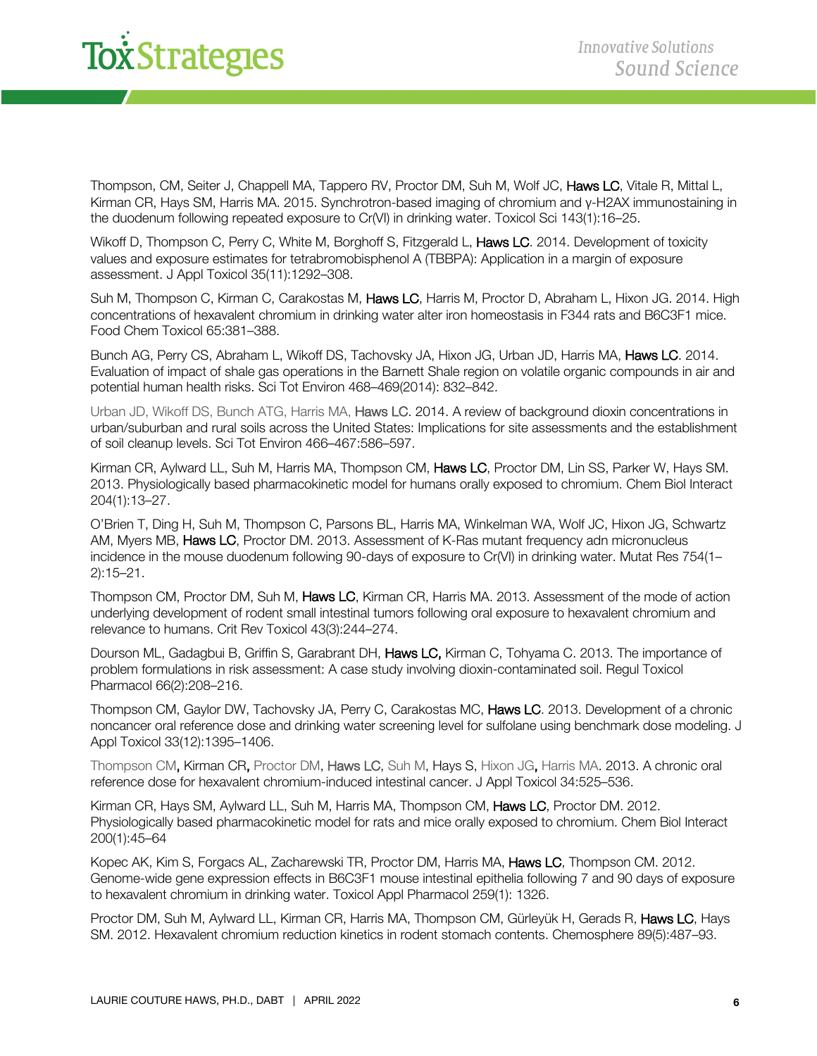Thompson, CM, Seiter J, Chappell MA, Tappero RV, Proctor DM, Suh M, Wolf JC, Haws LC, Vitale R, Mittal L, Kirman CR, Hays SM, Harris MA. 2015. Synchrotron-based imaging of chromium and γ-H2AX immunostaining in the duodenum following repeated exposure to Cr(VI) in drinking water. Toxicol Sci 143(1):16–25.

Wikoff D, Thompson C, Perry C, White M, Borghoff S, Fitzgerald L, Haws LC. 2014. Development of toxicity values and exposure estimates for tetrabromobisphenol A (TBBPA): Application in a margin of exposure assessment. J Appl Toxicol 35(11):1292–308.

Suh M, Thompson C, Kirman C, Carakostas M, Haws LC, Harris M, Proctor D, Abraham L, Hixon JG. 2014. High concentrations of hexavalent chromium in drinking water alter iron homeostasis in F344 rats and B6C3F1 mice. Food Chem Toxicol 65:381–388.

Bunch AG, Perry CS, Abraham L, Wikoff DS, Tachovsky JA, Hixon JG, Urban JD, Harris MA, Haws LC, 2014. Evaluation of impact of shale gas operations in the Barnett Shale region on volatile organic compounds in air and potential human health risks. Sci Tot Environ 468–469(2014): 832–842.

Urban JD, Wikoff DS, Bunch ATG, Harris MA, Haws LC. 2014. A review of background dioxin concentrations in urban/suburban and rural soils across the United States: Implications for site assessments and the establishment of soil cleanup levels. Sci Tot Environ 466–467:586–597.

Kirman CR, Aylward LL, Suh M, Harris MA, Thompson CM, Haws LC, Proctor DM, Lin SS, Parker W, Hays SM. 2013. Physiologically based pharmacokinetic model for humans orally exposed to chromium. Chem Biol Interact 204(1):13–27.

O'Brien T, Ding H, Suh M, Thompson C, Parsons BL, Harris MA, Winkelman WA, Wolf JC, Hixon JG, Schwartz AM, Myers MB, Haws LC, Proctor DM. 2013. Assessment of K-Ras mutant frequency adn micronucleus incidence in the mouse duodenum following 90-days of exposure to Cr(VI) in drinking water. Mutat Res 754(1– 2):15–21.

Thompson CM, Proctor DM, Suh M, Haws LC, Kirman CR, Harris MA, 2013. Assessment of the mode of action underlying development of rodent small intestinal tumors following oral exposure to hexavalent chromium and relevance to humans. Crit Rev Toxicol 43(3):244–274.

Dourson ML, Gadagbui B, Griffin S, Garabrant DH, Haws LC, Kirman C, Tohyama C. 2013. The importance of problem formulations in risk assessment: A case study involving dioxin-contaminated soil. Regul Toxicol Pharmacol 66(2):208–216.

Thompson CM, Gaylor DW, Tachovsky JA, Perry C, Carakostas MC, Haws LC. 2013. Development of a chronic noncancer oral reference dose and drinking water screening level for sulfolane using benchmark dose modeling. J Appl Toxicol 33(12):1395–1406.

Thompson CM, Kirman CR, Proctor DM, Haws LC, Suh M, Hays S, Hixon JG, Harris MA. 2013. A chronic oral reference dose for hexavalent chromium-induced intestinal cancer. J Appl Toxicol 34:525–536.

Kirman CR, Hays SM, Aylward LL, Suh M, Harris MA, Thompson CM, Haws LC, Proctor DM. 2012. Physiologically based pharmacokinetic model for rats and mice orally exposed to chromium. Chem Biol Interact 200(1):45–64

Kopec AK, Kim S, Forgacs AL, Zacharewski TR, Proctor DM, Harris MA, Haws LC, Thompson CM. 2012. Genome-wide gene expression effects in B6C3F1 mouse intestinal epithelia following 7 and 90 days of exposure to hexavalent chromium in drinking water. Toxicol Appl Pharmacol 259(1): 1326.

Proctor DM, Suh M, Aylward LL, Kirman CR, Harris MA, Thompson CM, Gürleyük H, Gerads R, Haws LC, Hays SM. 2012. Hexavalent chromium reduction kinetics in rodent stomach contents. Chemosphere 89(5):487–93.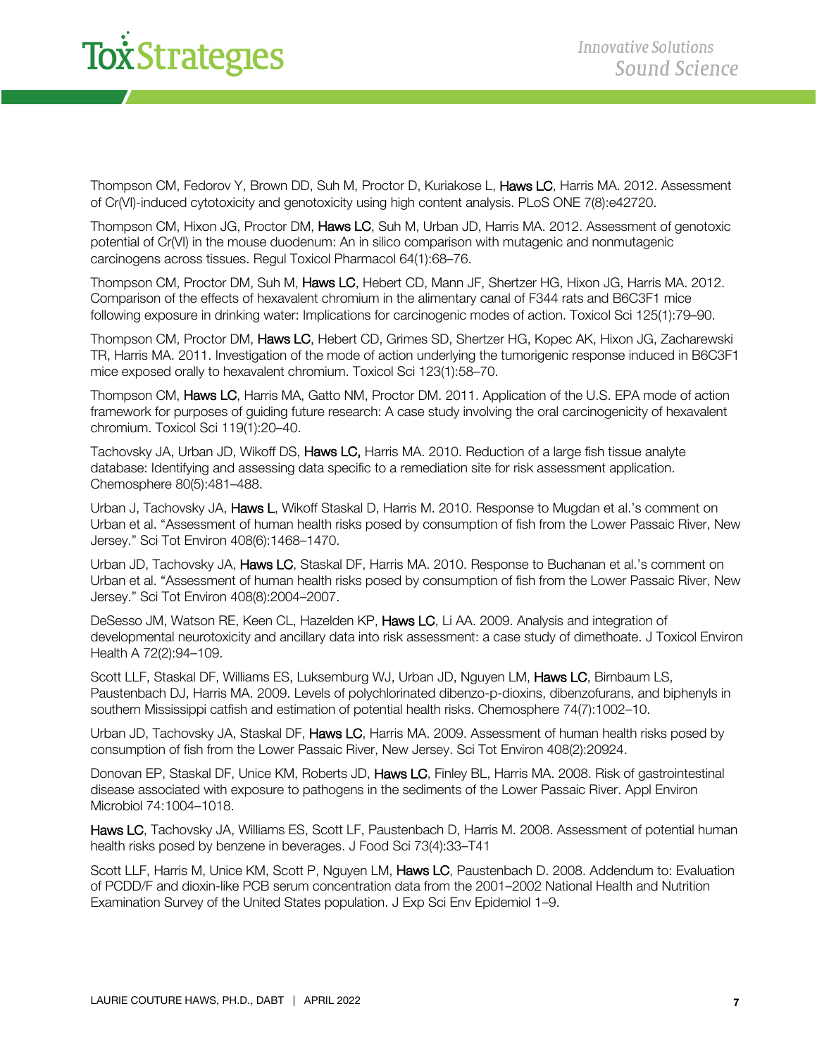Thompson CM, Fedorov Y, Brown DD, Suh M, Proctor D, Kuriakose L, Haws LC, Harris MA, 2012. Assessment of Cr(VI)-induced cytotoxicity and genotoxicity using high content analysis. PLoS ONE 7(8):e42720.

Thompson CM, Hixon JG, Proctor DM, Haws LC, Suh M, Urban JD, Harris MA. 2012. Assessment of genotoxic potential of Cr(VI) in the mouse duodenum: An in silico comparison with mutagenic and nonmutagenic carcinogens across tissues. Regul Toxicol Pharmacol 64(1):68–76.

Thompson CM, Proctor DM, Suh M, Haws LC, Hebert CD, Mann JF, Shertzer HG, Hixon JG, Harris MA. 2012. Comparison of the effects of hexavalent chromium in the alimentary canal of F344 rats and B6C3F1 mice following exposure in drinking water: Implications for carcinogenic modes of action. Toxicol Sci 125(1):79–90.

Thompson CM, Proctor DM, Haws LC, Hebert CD, Grimes SD, Shertzer HG, Kopec AK, Hixon JG, Zacharewski TR, Harris MA. 2011. Investigation of the mode of action underlying the tumorigenic response induced in B6C3F1 mice exposed orally to hexavalent chromium. Toxicol Sci 123(1):58–70.

Thompson CM, Haws LC, Harris MA, Gatto NM, Proctor DM. 2011. Application of the U.S. EPA mode of action framework for purposes of guiding future research: A case study involving the oral carcinogenicity of hexavalent chromium. Toxicol Sci 119(1):20–40.

Tachovsky JA, Urban JD, Wikoff DS, Haws LC, Harris MA. 2010. Reduction of a large fish tissue analyte database: Identifying and assessing data specific to a remediation site for risk assessment application. Chemosphere 80(5):481–488.

Urban J, Tachovsky JA, Haws L, Wikoff Staskal D, Harris M. 2010. Response to Mugdan et al.'s comment on Urban et al. "Assessment of human health risks posed by consumption of fish from the Lower Passaic River, New Jersey." Sci Tot Environ 408(6):1468–1470.

Urban JD, Tachovsky JA, Haws LC, Staskal DF, Harris MA. 2010. Response to Buchanan et al.'s comment on Urban et al. "Assessment of human health risks posed by consumption of fish from the Lower Passaic River, New Jersey." Sci Tot Environ 408(8):2004–2007.

DeSesso JM, Watson RE, Keen CL, Hazelden KP, Haws LC, Li AA. 2009. Analysis and integration of developmental neurotoxicity and ancillary data into risk assessment: a case study of dimethoate. J Toxicol Environ Health A 72(2):94–109.

Scott LLF, Staskal DF, Williams ES, Luksemburg WJ, Urban JD, Nguyen LM, Haws LC, Birnbaum LS, Paustenbach DJ, Harris MA. 2009. Levels of polychlorinated dibenzo-p-dioxins, dibenzofurans, and biphenyls in southern Mississippi catfish and estimation of potential health risks. Chemosphere 74(7):1002–10.

Urban JD, Tachovsky JA, Staskal DF, Haws LC, Harris MA. 2009. Assessment of human health risks posed by consumption of fish from the Lower Passaic River, New Jersey. Sci Tot Environ 408(2):20924.

Donovan EP, Staskal DF, Unice KM, Roberts JD, Haws LC, Finley BL, Harris MA. 2008. Risk of gastrointestinal disease associated with exposure to pathogens in the sediments of the Lower Passaic River. Appl Environ Microbiol 74:1004–1018.

Haws LC, Tachovsky JA, Williams ES, Scott LF, Paustenbach D, Harris M. 2008. Assessment of potential human health risks posed by benzene in beverages. J Food Sci 73(4):33–T41

Scott LLF, Harris M, Unice KM, Scott P, Nguyen LM, Haws LC, Paustenbach D. 2008. Addendum to: Evaluation of PCDD/F and dioxin-like PCB serum concentration data from the 2001–2002 National Health and Nutrition Examination Survey of the United States population. J Exp Sci Env Epidemiol 1–9.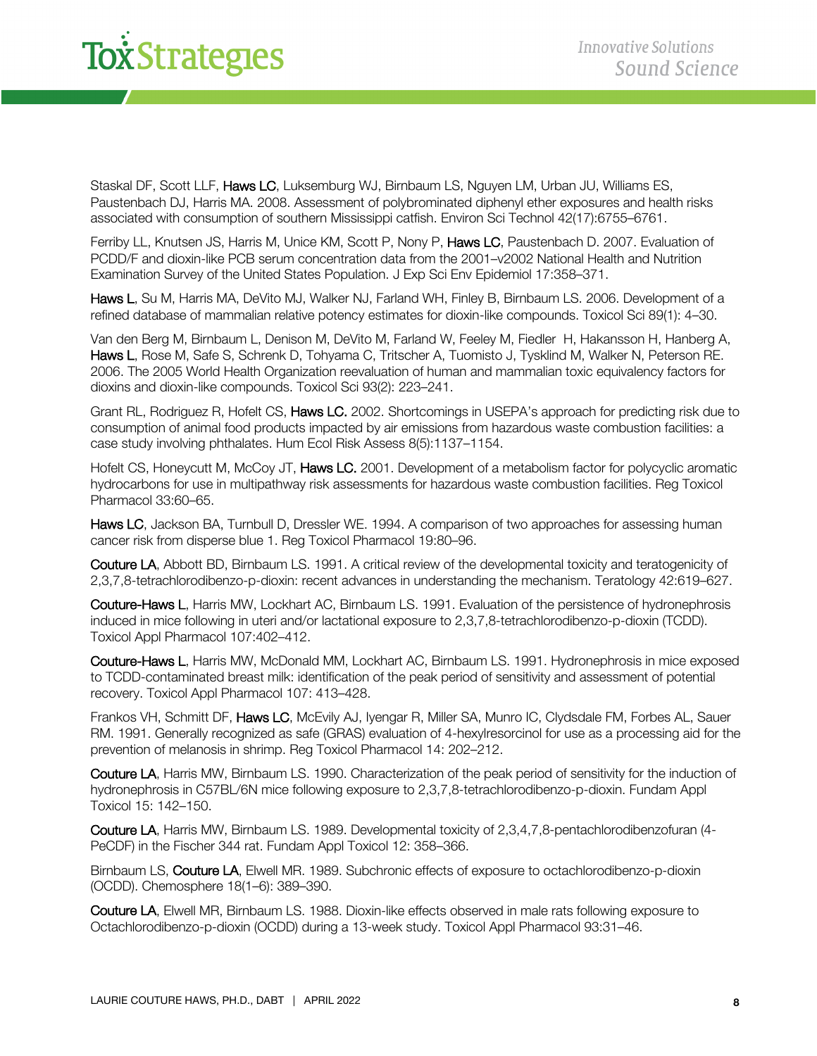# *x<sup>\*</sup>Strategies*

Staskal DF, Scott LLF, Haws LC, Luksemburg WJ, Birnbaum LS, Nguyen LM, Urban JU, Williams ES, Paustenbach DJ, Harris MA. 2008. Assessment of polybrominated diphenyl ether exposures and health risks associated with consumption of southern Mississippi catfish. Environ Sci Technol 42(17):6755–6761.

Ferriby LL, Knutsen JS, Harris M, Unice KM, Scott P, Nony P, Haws LC, Paustenbach D. 2007. Evaluation of PCDD/F and dioxin-like PCB serum concentration data from the 2001–v2002 National Health and Nutrition Examination Survey of the United States Population. J Exp Sci Env Epidemiol 17:358–371.

Haws L, Su M, Harris MA, DeVito MJ, Walker NJ, Farland WH, Finley B, Birnbaum LS, 2006. Development of a refined database of mammalian relative potency estimates for dioxin-like compounds. Toxicol Sci 89(1): 4–30.

Van den Berg M, Birnbaum L, Denison M, DeVito M, Farland W, Feeley M, Fiedler H, Hakansson H, Hanberg A, Haws L, Rose M, Safe S, Schrenk D, Tohyama C, Tritscher A, Tuomisto J, Tysklind M, Walker N, Peterson RE. 2006. The 2005 World Health Organization reevaluation of human and mammalian toxic equivalency factors for dioxins and dioxin-like compounds. Toxicol Sci 93(2): 223–241.

Grant RL, Rodriguez R, Hofelt CS, Haws LC. 2002. Shortcomings in USEPA's approach for predicting risk due to consumption of animal food products impacted by air emissions from hazardous waste combustion facilities: a case study involving phthalates. Hum Ecol Risk Assess 8(5):1137–1154.

Hofelt CS, Honeycutt M, McCoy JT, Haws LC. 2001. Development of a metabolism factor for polycyclic aromatic hydrocarbons for use in multipathway risk assessments for hazardous waste combustion facilities. Reg Toxicol Pharmacol 33:60–65.

Haws LC, Jackson BA, Turnbull D, Dressler WE. 1994. A comparison of two approaches for assessing human cancer risk from disperse blue 1. Reg Toxicol Pharmacol 19:80–96.

Couture LA, Abbott BD, Birnbaum LS. 1991. A critical review of the developmental toxicity and teratogenicity of 2,3,7,8-tetrachlorodibenzo-p-dioxin: recent advances in understanding the mechanism. Teratology 42:619–627.

Couture-Haws L, Harris MW, Lockhart AC, Birnbaum LS. 1991. Evaluation of the persistence of hydronephrosis induced in mice following in uteri and/or lactational exposure to 2,3,7,8-tetrachlorodibenzo-p-dioxin (TCDD). Toxicol Appl Pharmacol 107:402–412.

Couture-Haws L, Harris MW, McDonald MM, Lockhart AC, Birnbaum LS. 1991. Hydronephrosis in mice exposed to TCDD-contaminated breast milk: identification of the peak period of sensitivity and assessment of potential recovery. Toxicol Appl Pharmacol 107: 413–428.

Frankos VH, Schmitt DF, Haws LC, McEvily AJ, Iyengar R, Miller SA, Munro IC, Clydsdale FM, Forbes AL, Sauer RM. 1991. Generally recognized as safe (GRAS) evaluation of 4-hexylresorcinol for use as a processing aid for the prevention of melanosis in shrimp. Reg Toxicol Pharmacol 14: 202–212.

Couture LA, Harris MW, Birnbaum LS. 1990. Characterization of the peak period of sensitivity for the induction of hydronephrosis in C57BL/6N mice following exposure to 2,3,7,8-tetrachlorodibenzo-p-dioxin. Fundam Appl Toxicol 15: 142–150.

Couture LA, Harris MW, Birnbaum LS. 1989. Developmental toxicity of 2,3,4,7,8-pentachlorodibenzofuran (4- PeCDF) in the Fischer 344 rat. Fundam Appl Toxicol 12: 358–366.

Birnbaum LS, Couture LA, Elwell MR. 1989. Subchronic effects of exposure to octachlorodibenzo-p-dioxin (OCDD). Chemosphere 18(1–6): 389–390.

Couture LA, Elwell MR, Birnbaum LS. 1988. Dioxin-like effects observed in male rats following exposure to Octachlorodibenzo-p-dioxin (OCDD) during a 13-week study. Toxicol Appl Pharmacol 93:31–46.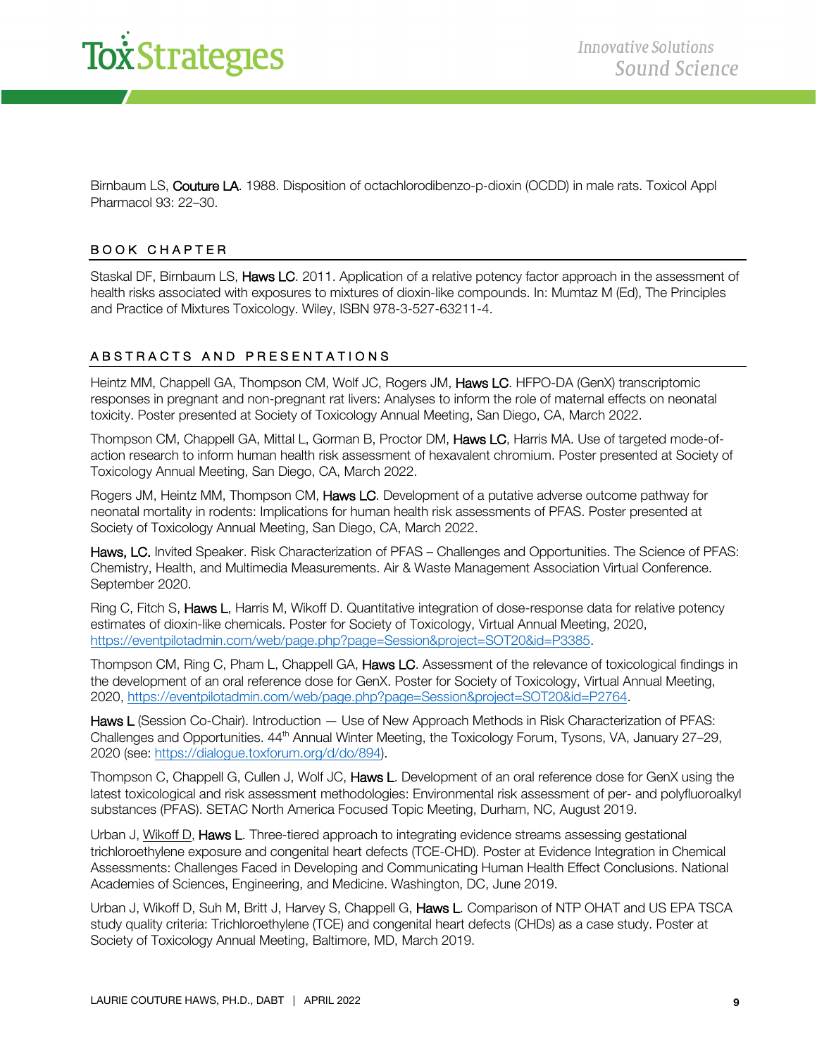

Birnbaum LS, Couture LA. 1988. Disposition of octachlorodibenzo-p-dioxin (OCDD) in male rats. Toxicol Appl Pharmacol 93: 22–30.

#### BOOK CHAPTER

Staskal DF, Birnbaum LS, Haws LC. 2011. Application of a relative potency factor approach in the assessment of health risks associated with exposures to mixtures of dioxin-like compounds. In: Mumtaz M (Ed), The Principles and Practice of Mixtures Toxicology. Wiley, ISBN 978-3-527-63211-4.

#### ABSTRACTS AND PRESENTATIONS

Heintz MM, Chappell GA, Thompson CM, Wolf JC, Rogers JM, Haws LC. HFPO-DA (GenX) transcriptomic responses in pregnant and non-pregnant rat livers: Analyses to inform the role of maternal effects on neonatal toxicity. Poster presented at Society of Toxicology Annual Meeting, San Diego, CA, March 2022.

Thompson CM, Chappell GA, Mittal L, Gorman B, Proctor DM, Haws LC, Harris MA. Use of targeted mode-ofaction research to inform human health risk assessment of hexavalent chromium. Poster presented at Society of Toxicology Annual Meeting, San Diego, CA, March 2022.

Rogers JM, Heintz MM, Thompson CM, Haws LC. Development of a putative adverse outcome pathway for neonatal mortality in rodents: Implications for human health risk assessments of PFAS. Poster presented at Society of Toxicology Annual Meeting, San Diego, CA, March 2022.

Haws, LC. Invited Speaker. Risk Characterization of PFAS – Challenges and Opportunities. The Science of PFAS: Chemistry, Health, and Multimedia Measurements. Air & Waste Management Association Virtual Conference. September 2020.

Ring C, Fitch S, Haws L, Harris M, Wikoff D. Quantitative integration of dose-response data for relative potency estimates of dioxin-like chemicals. Poster for Society of Toxicology, Virtual Annual Meeting, 2020, https://eventpilotadmin.com/web/page.php?page=Session&project=SOT20&id=P3385.

Thompson CM, Ring C, Pham L, Chappell GA, Haws LC. Assessment of the relevance of toxicological findings in the development of an oral reference dose for GenX. Poster for Society of Toxicology, Virtual Annual Meeting, 2020, https://eventpilotadmin.com/web/page.php?page=Session&project=SOT20&id=P2764.

Haws L (Session Co-Chair). Introduction — Use of New Approach Methods in Risk Characterization of PFAS: Challenges and Opportunities. 44<sup>th</sup> Annual Winter Meeting, the Toxicology Forum, Tysons, VA, January 27–29, 2020 (see: https://dialogue.toxforum.org/d/do/894).

Thompson C, Chappell G, Cullen J, Wolf JC, Haws L. Development of an oral reference dose for GenX using the latest toxicological and risk assessment methodologies: Environmental risk assessment of per- and polyfluoroalkyl substances (PFAS). SETAC North America Focused Topic Meeting, Durham, NC, August 2019.

Urban J, Wikoff D, Haws L. Three-tiered approach to integrating evidence streams assessing gestational trichloroethylene exposure and congenital heart defects (TCE-CHD). Poster at Evidence Integration in Chemical Assessments: Challenges Faced in Developing and Communicating Human Health Effect Conclusions. National Academies of Sciences, Engineering, and Medicine. Washington, DC, June 2019.

Urban J, Wikoff D, Suh M, Britt J, Harvey S, Chappell G, Haws L. Comparison of NTP OHAT and US EPA TSCA study quality criteria: Trichloroethylene (TCE) and congenital heart defects (CHDs) as a case study. Poster at Society of Toxicology Annual Meeting, Baltimore, MD, March 2019.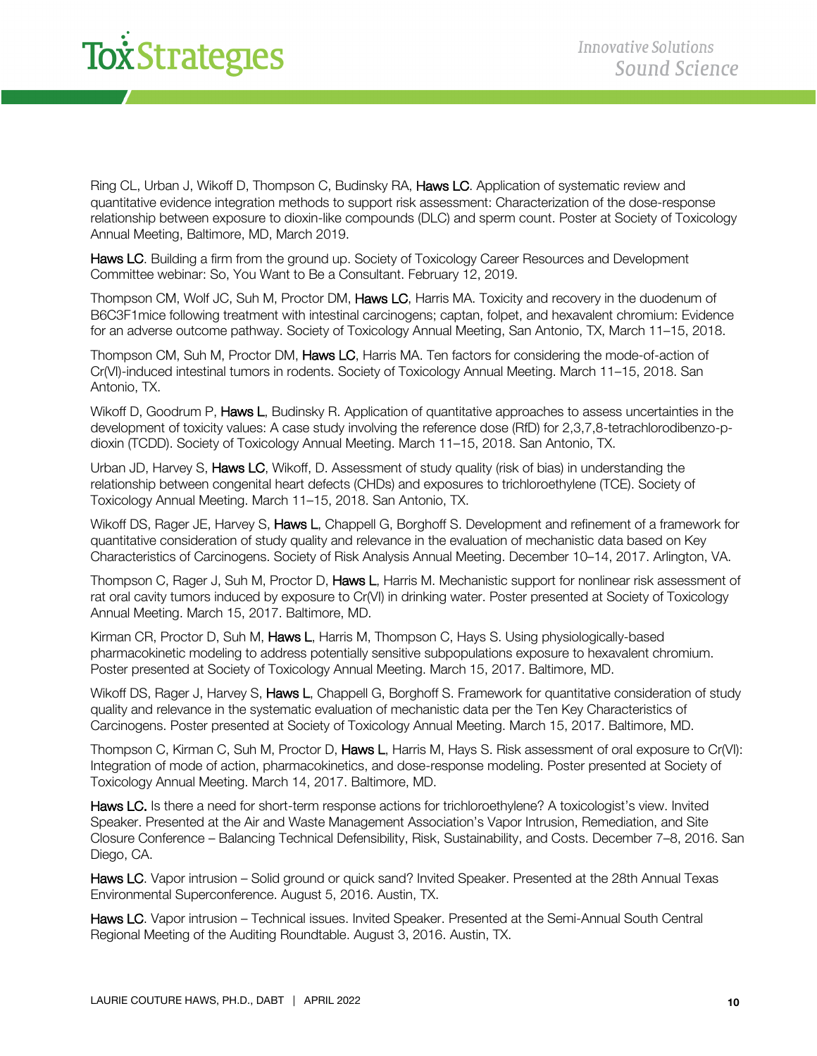Ring CL, Urban J, Wikoff D, Thompson C, Budinsky RA, **Haws LC**. Application of systematic review and quantitative evidence integration methods to support risk assessment: Characterization of the dose-response relationship between exposure to dioxin-like compounds (DLC) and sperm count. Poster at Society of Toxicology Annual Meeting, Baltimore, MD, March 2019.

Haws LC. Building a firm from the ground up. Society of Toxicology Career Resources and Development Committee webinar: So, You Want to Be a Consultant. February 12, 2019.

Thompson CM, Wolf JC, Suh M, Proctor DM, Haws LC, Harris MA. Toxicity and recovery in the duodenum of B6C3F1mice following treatment with intestinal carcinogens; captan, folpet, and hexavalent chromium: Evidence for an adverse outcome pathway. Society of Toxicology Annual Meeting, San Antonio, TX, March 11–15, 2018.

Thompson CM, Suh M, Proctor DM, Haws LC, Harris MA. Ten factors for considering the mode-of-action of Cr(VI)-induced intestinal tumors in rodents. Society of Toxicology Annual Meeting. March 11–15, 2018. San Antonio, TX.

Wikoff D, Goodrum P, Haws L, Budinsky R. Application of quantitative approaches to assess uncertainties in the development of toxicity values: A case study involving the reference dose (RfD) for 2,3,7,8-tetrachlorodibenzo-pdioxin (TCDD). Society of Toxicology Annual Meeting. March 11–15, 2018. San Antonio, TX.

Urban JD, Harvey S, Haws LC, Wikoff, D. Assessment of study quality (risk of bias) in understanding the relationship between congenital heart defects (CHDs) and exposures to trichloroethylene (TCE). Society of Toxicology Annual Meeting. March 11–15, 2018. San Antonio, TX.

Wikoff DS, Rager JE, Harvey S, Haws L, Chappell G, Borghoff S, Development and refinement of a framework for quantitative consideration of study quality and relevance in the evaluation of mechanistic data based on Key Characteristics of Carcinogens. Society of Risk Analysis Annual Meeting. December 10–14, 2017. Arlington, VA.

Thompson C, Rager J, Suh M, Proctor D, Haws L, Harris M. Mechanistic support for nonlinear risk assessment of rat oral cavity tumors induced by exposure to Cr(VI) in drinking water. Poster presented at Society of Toxicology Annual Meeting. March 15, 2017. Baltimore, MD.

Kirman CR, Proctor D, Suh M, Haws L, Harris M, Thompson C, Hays S. Using physiologically-based pharmacokinetic modeling to address potentially sensitive subpopulations exposure to hexavalent chromium. Poster presented at Society of Toxicology Annual Meeting. March 15, 2017. Baltimore, MD.

Wikoff DS, Rager J, Harvey S, Haws L, Chappell G, Borghoff S. Framework for quantitative consideration of study quality and relevance in the systematic evaluation of mechanistic data per the Ten Key Characteristics of Carcinogens. Poster presented at Society of Toxicology Annual Meeting. March 15, 2017. Baltimore, MD.

Thompson C, Kirman C, Suh M, Proctor D, Haws L, Harris M, Hays S. Risk assessment of oral exposure to Cr(VI): Integration of mode of action, pharmacokinetics, and dose-response modeling. Poster presented at Society of Toxicology Annual Meeting. March 14, 2017. Baltimore, MD.

Haws LC. Is there a need for short-term response actions for trichloroethylene? A toxicologist's view. Invited Speaker. Presented at the Air and Waste Management Association's Vapor Intrusion, Remediation, and Site Closure Conference – Balancing Technical Defensibility, Risk, Sustainability, and Costs. December 7–8, 2016. San Diego, CA.

Haws LC. Vapor intrusion - Solid ground or quick sand? Invited Speaker. Presented at the 28th Annual Texas Environmental Superconference. August 5, 2016. Austin, TX.

Haws LC. Vapor intrusion – Technical issues. Invited Speaker. Presented at the Semi-Annual South Central Regional Meeting of the Auditing Roundtable. August 3, 2016. Austin, TX.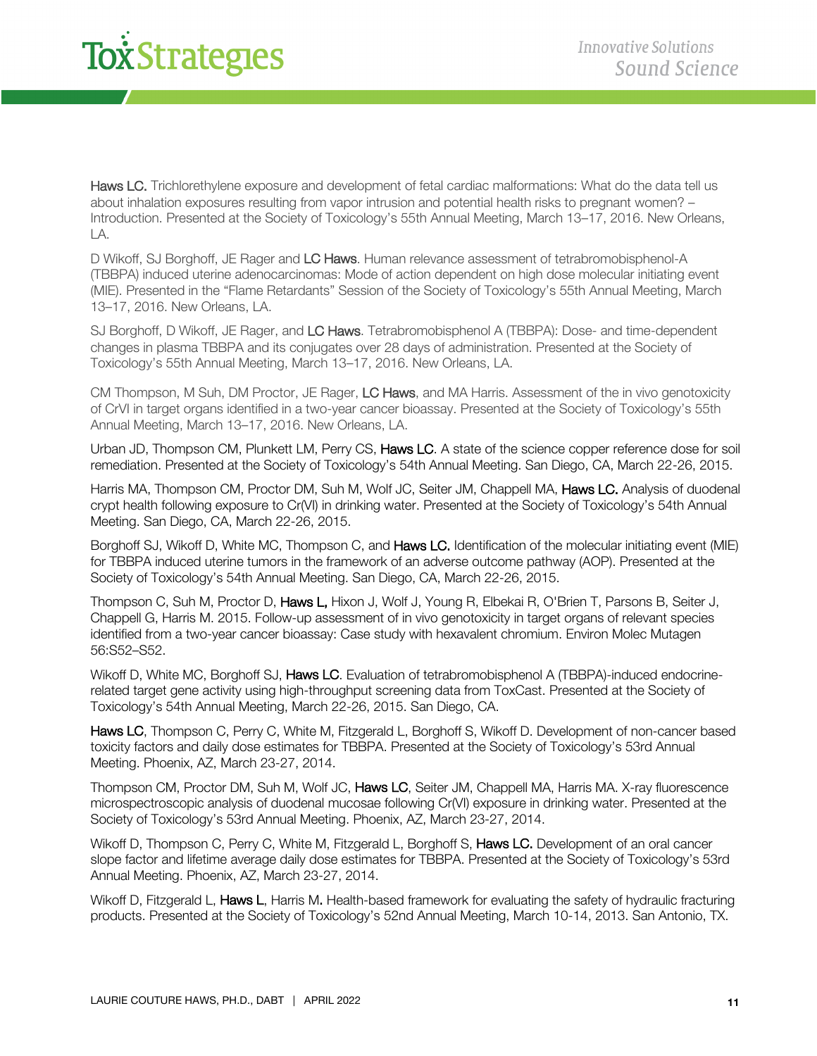### *xStrategies*

Haws LC. Trichlorethylene exposure and development of fetal cardiac malformations: What do the data tell us about inhalation exposures resulting from vapor intrusion and potential health risks to pregnant women? – Introduction. Presented at the Society of Toxicology's 55th Annual Meeting, March 13–17, 2016. New Orleans, LA.

D Wikoff, SJ Borghoff, JE Rager and LC Haws. Human relevance assessment of tetrabromobisphenol-A (TBBPA) induced uterine adenocarcinomas: Mode of action dependent on high dose molecular initiating event (MIE). Presented in the "Flame Retardants" Session of the Society of Toxicology's 55th Annual Meeting, March 13–17, 2016. New Orleans, LA.

SJ Borghoff, D Wikoff, JE Rager, and LC Haws. Tetrabromobisphenol A (TBBPA): Dose- and time-dependent changes in plasma TBBPA and its conjugates over 28 days of administration. Presented at the Society of Toxicology's 55th Annual Meeting, March 13–17, 2016. New Orleans, LA.

CM Thompson, M Suh, DM Proctor, JE Rager, LC Haws, and MA Harris. Assessment of the in vivo genotoxicity of CrVI in target organs identified in a two-year cancer bioassay. Presented at the Society of Toxicology's 55th Annual Meeting, March 13–17, 2016. New Orleans, LA.

Urban JD, Thompson CM, Plunkett LM, Perry CS, Haws LC. A state of the science copper reference dose for soil remediation. Presented at the Society of Toxicology's 54th Annual Meeting. San Diego, CA, March 22-26, 2015.

Harris MA, Thompson CM, Proctor DM, Suh M, Wolf JC, Seiter JM, Chappell MA, Haws LC. Analysis of duodenal crypt health following exposure to Cr(VI) in drinking water. Presented at the Society of Toxicology's 54th Annual Meeting. San Diego, CA, March 22-26, 2015.

Borghoff SJ, Wikoff D, White MC, Thompson C, and Haws LC. Identification of the molecular initiating event (MIE) for TBBPA induced uterine tumors in the framework of an adverse outcome pathway (AOP). Presented at the Society of Toxicology's 54th Annual Meeting. San Diego, CA, March 22-26, 2015.

Thompson C, Suh M, Proctor D, Haws L, Hixon J, Wolf J, Young R, Elbekai R, O'Brien T, Parsons B, Seiter J, Chappell G, Harris M. 2015. Follow-up assessment of in vivo genotoxicity in target organs of relevant species identified from a two-year cancer bioassay: Case study with hexavalent chromium. Environ Molec Mutagen 56:S52–S52.

Wikoff D, White MC, Borghoff SJ, Haws LC. Evaluation of tetrabromobisphenol A (TBBPA)-induced endocrinerelated target gene activity using high-throughput screening data from ToxCast. Presented at the Society of Toxicology's 54th Annual Meeting, March 22-26, 2015. San Diego, CA.

Haws LC, Thompson C, Perry C, White M, Fitzgerald L, Borghoff S, Wikoff D. Development of non-cancer based toxicity factors and daily dose estimates for TBBPA. Presented at the Society of Toxicology's 53rd Annual Meeting. Phoenix, AZ, March 23-27, 2014.

Thompson CM, Proctor DM, Suh M, Wolf JC, Haws LC, Seiter JM, Chappell MA, Harris MA. X-ray fluorescence microspectroscopic analysis of duodenal mucosae following Cr(VI) exposure in drinking water. Presented at the Society of Toxicology's 53rd Annual Meeting. Phoenix, AZ, March 23-27, 2014.

Wikoff D, Thompson C, Perry C, White M, Fitzgerald L, Borghoff S, Haws LC. Development of an oral cancer slope factor and lifetime average daily dose estimates for TBBPA. Presented at the Society of Toxicology's 53rd Annual Meeting. Phoenix, AZ, March 23-27, 2014.

Wikoff D, Fitzgerald L, Haws L, Harris M. Health-based framework for evaluating the safety of hydraulic fracturing products. Presented at the Society of Toxicology's 52nd Annual Meeting, March 10-14, 2013. San Antonio, TX.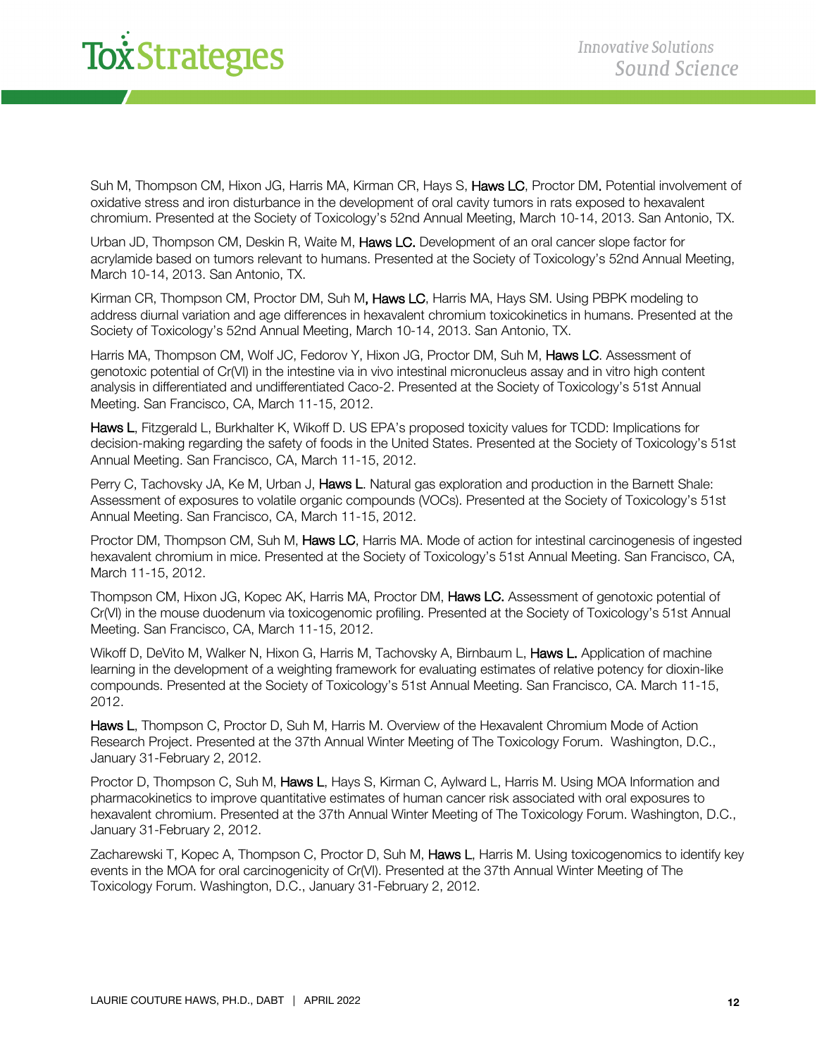# *x<sup>strategies*</sup>

Suh M, Thompson CM, Hixon JG, Harris MA, Kirman CR, Hays S, Haws LC, Proctor DM, Potential involvement of oxidative stress and iron disturbance in the development of oral cavity tumors in rats exposed to hexavalent chromium. Presented at the Society of Toxicology's 52nd Annual Meeting, March 10-14, 2013. San Antonio, TX.

Urban JD, Thompson CM, Deskin R, Waite M, Haws LC. Development of an oral cancer slope factor for acrylamide based on tumors relevant to humans. Presented at the Society of Toxicology's 52nd Annual Meeting, March 10-14, 2013. San Antonio, TX.

Kirman CR, Thompson CM, Proctor DM, Suh M, Haws LC, Harris MA, Hays SM. Using PBPK modeling to address diurnal variation and age differences in hexavalent chromium toxicokinetics in humans. Presented at the Society of Toxicology's 52nd Annual Meeting, March 10-14, 2013. San Antonio, TX.

Harris MA, Thompson CM, Wolf JC, Fedorov Y, Hixon JG, Proctor DM, Suh M, Haws LC, Assessment of genotoxic potential of Cr(VI) in the intestine via in vivo intestinal micronucleus assay and in vitro high content analysis in differentiated and undifferentiated Caco-2. Presented at the Society of Toxicology's 51st Annual Meeting. San Francisco, CA, March 11-15, 2012.

Haws L, Fitzgerald L, Burkhalter K, Wikoff D. US EPA's proposed toxicity values for TCDD: Implications for decision-making regarding the safety of foods in the United States. Presented at the Society of Toxicology's 51st Annual Meeting. San Francisco, CA, March 11-15, 2012.

Perry C, Tachovsky JA, Ke M, Urban J, Haws L. Natural gas exploration and production in the Barnett Shale: Assessment of exposures to volatile organic compounds (VOCs). Presented at the Society of Toxicology's 51st Annual Meeting. San Francisco, CA, March 11-15, 2012.

Proctor DM, Thompson CM, Suh M, Haws LC, Harris MA. Mode of action for intestinal carcinogenesis of ingested hexavalent chromium in mice. Presented at the Society of Toxicology's 51st Annual Meeting. San Francisco, CA, March 11-15, 2012.

Thompson CM, Hixon JG, Kopec AK, Harris MA, Proctor DM, Haws LC. Assessment of genotoxic potential of Cr(VI) in the mouse duodenum via toxicogenomic profiling. Presented at the Society of Toxicology's 51st Annual Meeting. San Francisco, CA, March 11-15, 2012.

Wikoff D, DeVito M, Walker N, Hixon G, Harris M, Tachovsky A, Birnbaum L, Haws L. Application of machine learning in the development of a weighting framework for evaluating estimates of relative potency for dioxin-like compounds. Presented at the Society of Toxicology's 51st Annual Meeting. San Francisco, CA. March 11-15, 2012.

Haws L, Thompson C, Proctor D, Suh M, Harris M. Overview of the Hexavalent Chromium Mode of Action Research Project. Presented at the 37th Annual Winter Meeting of The Toxicology Forum. Washington, D.C., January 31-February 2, 2012.

Proctor D, Thompson C, Suh M, Haws L, Hays S, Kirman C, Aylward L, Harris M. Using MOA Information and pharmacokinetics to improve quantitative estimates of human cancer risk associated with oral exposures to hexavalent chromium. Presented at the 37th Annual Winter Meeting of The Toxicology Forum. Washington, D.C., January 31-February 2, 2012.

Zacharewski T, Kopec A, Thompson C, Proctor D, Suh M, Haws L, Harris M. Using toxicogenomics to identify key events in the MOA for oral carcinogenicity of Cr(VI). Presented at the 37th Annual Winter Meeting of The Toxicology Forum. Washington, D.C., January 31-February 2, 2012.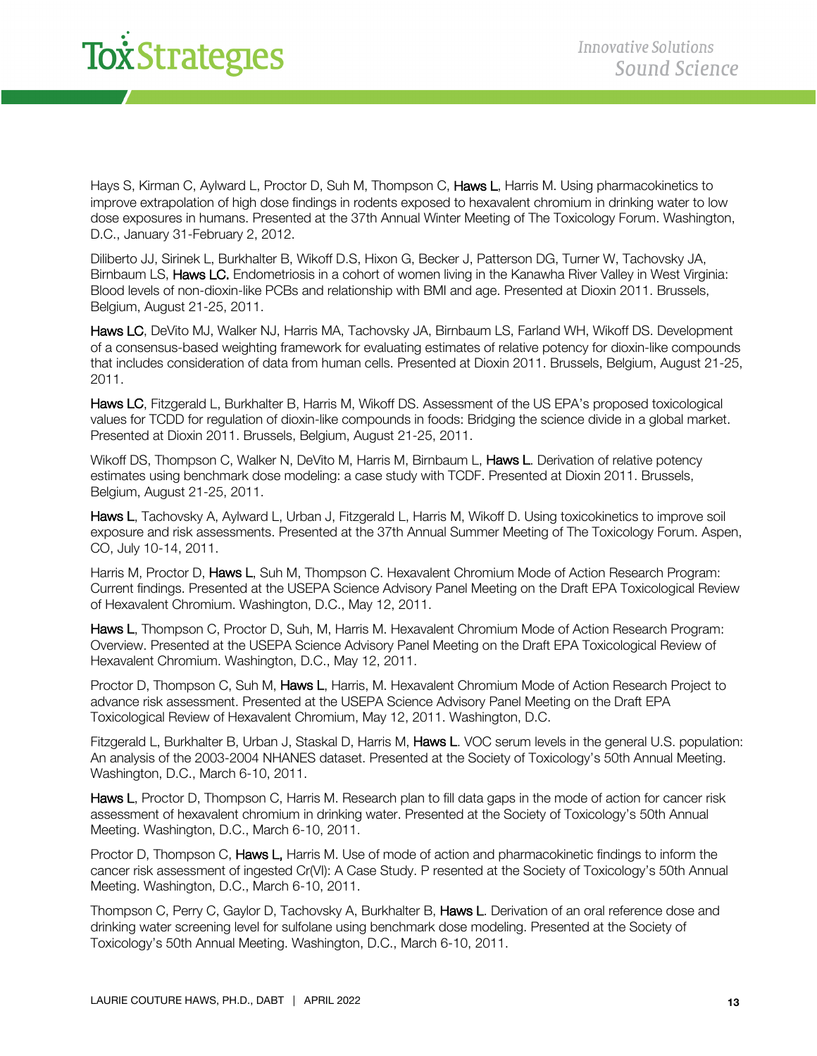Hays S, Kirman C, Aylward L, Proctor D, Suh M, Thompson C, **Haws L**, Harris M. Using pharmacokinetics to improve extrapolation of high dose findings in rodents exposed to hexavalent chromium in drinking water to low dose exposures in humans. Presented at the 37th Annual Winter Meeting of The Toxicology Forum. Washington, D.C., January 31-February 2, 2012.

Diliberto JJ, Sirinek L, Burkhalter B, Wikoff D.S, Hixon G, Becker J, Patterson DG, Turner W, Tachovsky JA, Birnbaum LS, Haws LC. Endometriosis in a cohort of women living in the Kanawha River Valley in West Virginia: Blood levels of non-dioxin-like PCBs and relationship with BMI and age. Presented at Dioxin 2011. Brussels, Belgium, August 21-25, 2011.

Haws LC, DeVito MJ, Walker NJ, Harris MA, Tachovsky JA, Birnbaum LS, Farland WH, Wikoff DS. Development of a consensus-based weighting framework for evaluating estimates of relative potency for dioxin-like compounds that includes consideration of data from human cells. Presented at Dioxin 2011. Brussels, Belgium, August 21-25, 2011.

Haws LC, Fitzgerald L, Burkhalter B, Harris M, Wikoff DS. Assessment of the US EPA's proposed toxicological values for TCDD for regulation of dioxin-like compounds in foods: Bridging the science divide in a global market. Presented at Dioxin 2011. Brussels, Belgium, August 21-25, 2011.

Wikoff DS, Thompson C, Walker N, DeVito M, Harris M, Birnbaum L, Haws L. Derivation of relative potency estimates using benchmark dose modeling: a case study with TCDF. Presented at Dioxin 2011. Brussels, Belgium, August 21-25, 2011.

Haws L, Tachovsky A, Aylward L, Urban J, Fitzgerald L, Harris M, Wikoff D. Using toxicokinetics to improve soil exposure and risk assessments. Presented at the 37th Annual Summer Meeting of The Toxicology Forum. Aspen, CO, July 10-14, 2011.

Harris M, Proctor D, Haws L, Suh M, Thompson C. Hexavalent Chromium Mode of Action Research Program: Current findings. Presented at the USEPA Science Advisory Panel Meeting on the Draft EPA Toxicological Review of Hexavalent Chromium. Washington, D.C., May 12, 2011.

Haws L, Thompson C, Proctor D, Suh, M, Harris M. Hexavalent Chromium Mode of Action Research Program: Overview. Presented at the USEPA Science Advisory Panel Meeting on the Draft EPA Toxicological Review of Hexavalent Chromium. Washington, D.C., May 12, 2011.

Proctor D, Thompson C, Suh M, Haws L, Harris, M. Hexavalent Chromium Mode of Action Research Project to advance risk assessment. Presented at the USEPA Science Advisory Panel Meeting on the Draft EPA Toxicological Review of Hexavalent Chromium, May 12, 2011. Washington, D.C.

Fitzgerald L, Burkhalter B, Urban J, Staskal D, Harris M, Haws L. VOC serum levels in the general U.S. population: An analysis of the 2003-2004 NHANES dataset. Presented at the Society of Toxicology's 50th Annual Meeting. Washington, D.C., March 6-10, 2011.

Haws L, Proctor D, Thompson C, Harris M. Research plan to fill data gaps in the mode of action for cancer risk assessment of hexavalent chromium in drinking water. Presented at the Society of Toxicology's 50th Annual Meeting. Washington, D.C., March 6-10, 2011.

Proctor D, Thompson C, Haws L, Harris M. Use of mode of action and pharmacokinetic findings to inform the cancer risk assessment of ingested Cr(VI): A Case Study. P resented at the Society of Toxicology's 50th Annual Meeting. Washington, D.C., March 6-10, 2011.

Thompson C, Perry C, Gaylor D, Tachovsky A, Burkhalter B, Haws L. Derivation of an oral reference dose and drinking water screening level for sulfolane using benchmark dose modeling. Presented at the Society of Toxicology's 50th Annual Meeting. Washington, D.C., March 6-10, 2011.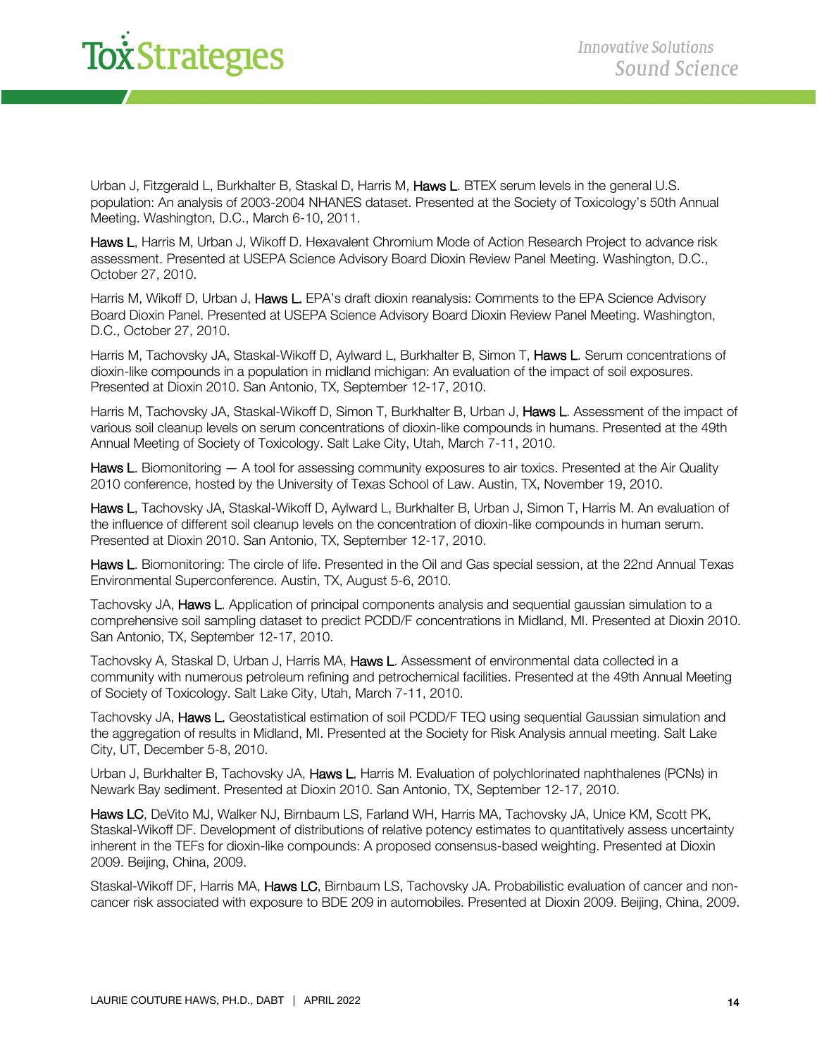Urban J, Fitzgerald L, Burkhalter B, Staskal D, Harris M, Haws L. BTEX serum levels in the general U.S. population: An analysis of 2003-2004 NHANES dataset. Presented at the Society of Toxicology's 50th Annual Meeting. Washington, D.C., March 6-10, 2011.

Haws L, Harris M, Urban J, Wikoff D. Hexavalent Chromium Mode of Action Research Project to advance risk assessment. Presented at USEPA Science Advisory Board Dioxin Review Panel Meeting. Washington, D.C., October 27, 2010.

Harris M, Wikoff D, Urban J, **Haws L.** EPA's draft dioxin reanalysis: Comments to the EPA Science Advisory Board Dioxin Panel. Presented at USEPA Science Advisory Board Dioxin Review Panel Meeting. Washington, D.C., October 27, 2010.

Harris M, Tachovsky JA, Staskal-Wikoff D, Aylward L, Burkhalter B, Simon T, Haws L. Serum concentrations of dioxin-like compounds in a population in midland michigan: An evaluation of the impact of soil exposures. Presented at Dioxin 2010. San Antonio, TX, September 12-17, 2010.

Harris M, Tachovsky JA, Staskal-Wikoff D, Simon T, Burkhalter B, Urban J, Haws L. Assessment of the impact of various soil cleanup levels on serum concentrations of dioxin-like compounds in humans. Presented at the 49th Annual Meeting of Society of Toxicology. Salt Lake City, Utah, March 7-11, 2010.

Haws L. Biomonitoring  $-$  A tool for assessing community exposures to air toxics. Presented at the Air Quality 2010 conference, hosted by the University of Texas School of Law. Austin, TX, November 19, 2010.

Haws L, Tachovsky JA, Staskal-Wikoff D, Aylward L, Burkhalter B, Urban J, Simon T, Harris M. An evaluation of the influence of different soil cleanup levels on the concentration of dioxin-like compounds in human serum. Presented at Dioxin 2010. San Antonio, TX, September 12-17, 2010.

Haws L. Biomonitoring: The circle of life. Presented in the Oil and Gas special session, at the 22nd Annual Texas Environmental Superconference. Austin, TX, August 5-6, 2010.

Tachovsky JA, Haws L. Application of principal components analysis and sequential gaussian simulation to a comprehensive soil sampling dataset to predict PCDD/F concentrations in Midland, MI. Presented at Dioxin 2010. San Antonio, TX, September 12-17, 2010.

Tachovsky A, Staskal D, Urban J, Harris MA, Haws L. Assessment of environmental data collected in a community with numerous petroleum refining and petrochemical facilities. Presented at the 49th Annual Meeting of Society of Toxicology. Salt Lake City, Utah, March 7-11, 2010.

Tachovsky JA, Haws L. Geostatistical estimation of soil PCDD/F TEQ using sequential Gaussian simulation and the aggregation of results in Midland, MI. Presented at the Society for Risk Analysis annual meeting. Salt Lake City, UT, December 5-8, 2010.

Urban J, Burkhalter B, Tachovsky JA, **Haws L**, Harris M. Evaluation of polychlorinated naphthalenes (PCNs) in Newark Bay sediment. Presented at Dioxin 2010. San Antonio, TX, September 12-17, 2010.

Haws LC, DeVito MJ, Walker NJ, Birnbaum LS, Farland WH, Harris MA, Tachovsky JA, Unice KM, Scott PK, Staskal-Wikoff DF. Development of distributions of relative potency estimates to quantitatively assess uncertainty inherent in the TEFs for dioxin-like compounds: A proposed consensus-based weighting. Presented at Dioxin 2009. Beijing, China, 2009.

Staskal-Wikoff DF, Harris MA, Haws LC, Birnbaum LS, Tachovsky JA. Probabilistic evaluation of cancer and noncancer risk associated with exposure to BDE 209 in automobiles. Presented at Dioxin 2009. Beijing, China, 2009.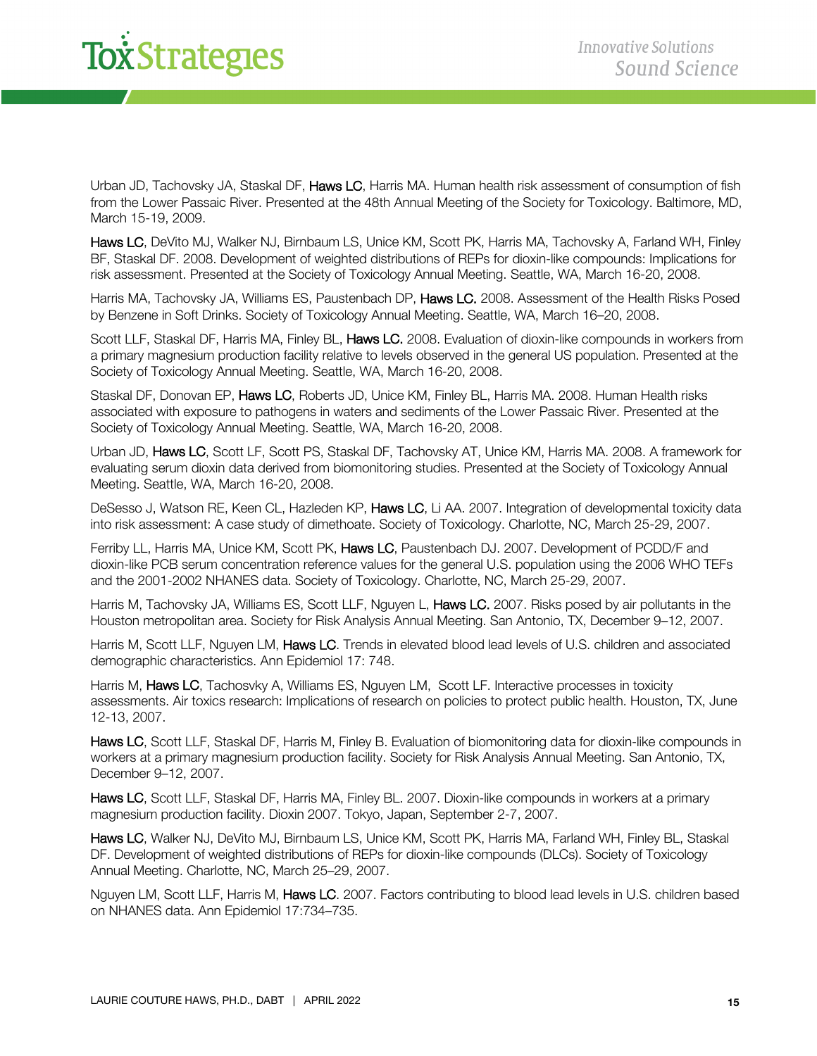Urban JD, Tachovsky JA, Staskal DF, Haws LC, Harris MA, Human health risk assessment of consumption of fish from the Lower Passaic River. Presented at the 48th Annual Meeting of the Society for Toxicology. Baltimore, MD, March 15-19, 2009.

Haws LC, DeVito MJ, Walker NJ, Birnbaum LS, Unice KM, Scott PK, Harris MA, Tachovsky A, Farland WH, Finley BF, Staskal DF. 2008. Development of weighted distributions of REPs for dioxin-like compounds: Implications for risk assessment. Presented at the Society of Toxicology Annual Meeting. Seattle, WA, March 16-20, 2008.

Harris MA, Tachovsky JA, Williams ES, Paustenbach DP, Haws LC. 2008. Assessment of the Health Risks Posed by Benzene in Soft Drinks. Society of Toxicology Annual Meeting. Seattle, WA, March 16–20, 2008.

Scott LLF, Staskal DF, Harris MA, Finley BL, Haws LC. 2008. Evaluation of dioxin-like compounds in workers from a primary magnesium production facility relative to levels observed in the general US population. Presented at the Society of Toxicology Annual Meeting. Seattle, WA, March 16-20, 2008.

Staskal DF, Donovan EP, Haws LC, Roberts JD, Unice KM, Finley BL, Harris MA. 2008. Human Health risks associated with exposure to pathogens in waters and sediments of the Lower Passaic River. Presented at the Society of Toxicology Annual Meeting. Seattle, WA, March 16-20, 2008.

Urban JD, Haws LC, Scott LF, Scott PS, Staskal DF, Tachovsky AT, Unice KM, Harris MA. 2008. A framework for evaluating serum dioxin data derived from biomonitoring studies. Presented at the Society of Toxicology Annual Meeting. Seattle, WA, March 16-20, 2008.

DeSesso J, Watson RE, Keen CL, Hazleden KP, Haws LC, Li AA. 2007. Integration of developmental toxicity data into risk assessment: A case study of dimethoate. Society of Toxicology. Charlotte, NC, March 25-29, 2007.

Ferriby LL, Harris MA, Unice KM, Scott PK, Haws LC, Paustenbach DJ. 2007. Development of PCDD/F and dioxin-like PCB serum concentration reference values for the general U.S. population using the 2006 WHO TEFs and the 2001-2002 NHANES data. Society of Toxicology. Charlotte, NC, March 25-29, 2007.

Harris M, Tachovsky JA, Williams ES, Scott LLF, Nguyen L, Haws LC. 2007. Risks posed by air pollutants in the Houston metropolitan area. Society for Risk Analysis Annual Meeting. San Antonio, TX, December 9–12, 2007.

Harris M, Scott LLF, Nguyen LM, Haws LC. Trends in elevated blood lead levels of U.S. children and associated demographic characteristics. Ann Epidemiol 17: 748.

Harris M, Haws LC, Tachosvky A, Williams ES, Nguyen LM, Scott LF. Interactive processes in toxicity assessments. Air toxics research: Implications of research on policies to protect public health. Houston, TX, June 12-13, 2007.

Haws LC, Scott LLF, Staskal DF, Harris M, Finley B. Evaluation of biomonitoring data for dioxin-like compounds in workers at a primary magnesium production facility. Society for Risk Analysis Annual Meeting. San Antonio, TX, December 9–12, 2007.

Haws LC, Scott LLF, Staskal DF, Harris MA, Finley BL. 2007. Dioxin-like compounds in workers at a primary magnesium production facility. Dioxin 2007. Tokyo, Japan, September 2-7, 2007.

Haws LC, Walker NJ, DeVito MJ, Birnbaum LS, Unice KM, Scott PK, Harris MA, Farland WH, Finley BL, Staskal DF. Development of weighted distributions of REPs for dioxin-like compounds (DLCs). Society of Toxicology Annual Meeting. Charlotte, NC, March 25–29, 2007.

Nguyen LM, Scott LLF, Harris M, Haws LC. 2007. Factors contributing to blood lead levels in U.S. children based on NHANES data. Ann Epidemiol 17:734–735.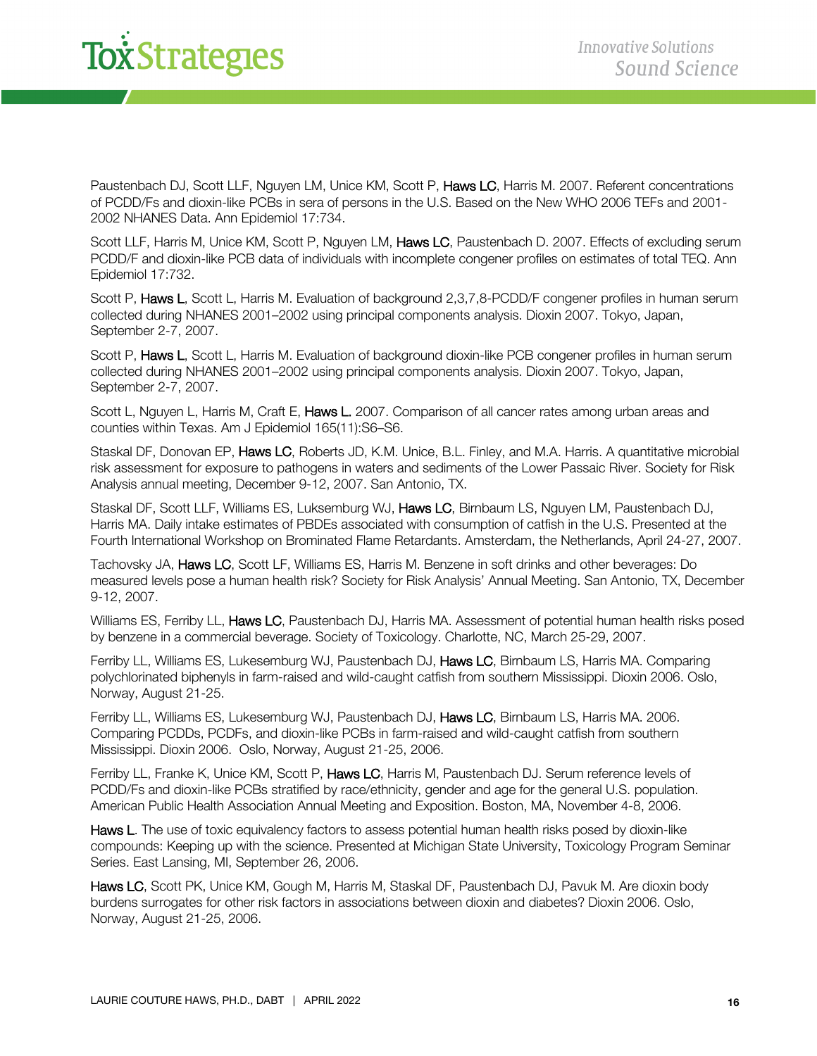Paustenbach DJ, Scott LLF, Nguyen LM, Unice KM, Scott P, Haws LC, Harris M. 2007. Referent concentrations of PCDD/Fs and dioxin-like PCBs in sera of persons in the U.S. Based on the New WHO 2006 TEFs and 2001- 2002 NHANES Data. Ann Epidemiol 17:734.

Scott LLF, Harris M, Unice KM, Scott P, Nguyen LM, Haws LC, Paustenbach D. 2007. Effects of excluding serum PCDD/F and dioxin-like PCB data of individuals with incomplete congener profiles on estimates of total TEQ. Ann Epidemiol 17:732.

Scott P, Haws L, Scott L, Harris M. Evaluation of background 2,3,7,8-PCDD/F congener profiles in human serum collected during NHANES 2001–2002 using principal components analysis. Dioxin 2007. Tokyo, Japan, September 2-7, 2007.

Scott P, Haws L, Scott L, Harris M. Evaluation of background dioxin-like PCB congener profiles in human serum collected during NHANES 2001–2002 using principal components analysis. Dioxin 2007. Tokyo, Japan, September 2-7, 2007.

Scott L, Nguyen L, Harris M, Craft E, Haws L. 2007. Comparison of all cancer rates among urban areas and counties within Texas. Am J Epidemiol 165(11):S6–S6.

Staskal DF, Donovan EP, Haws LC, Roberts JD, K.M. Unice, B.L. Finley, and M.A. Harris. A quantitative microbial risk assessment for exposure to pathogens in waters and sediments of the Lower Passaic River. Society for Risk Analysis annual meeting, December 9-12, 2007. San Antonio, TX.

Staskal DF, Scott LLF, Williams ES, Luksemburg WJ, Haws LC, Birnbaum LS, Nguyen LM, Paustenbach DJ, Harris MA. Daily intake estimates of PBDEs associated with consumption of catfish in the U.S. Presented at the Fourth International Workshop on Brominated Flame Retardants. Amsterdam, the Netherlands, April 24-27, 2007.

Tachovsky JA, Haws LC, Scott LF, Williams ES, Harris M. Benzene in soft drinks and other beverages: Do measured levels pose a human health risk? Society for Risk Analysis' Annual Meeting. San Antonio, TX, December 9-12, 2007.

Williams ES, Ferriby LL, Haws LC, Paustenbach DJ, Harris MA. Assessment of potential human health risks posed by benzene in a commercial beverage. Society of Toxicology. Charlotte, NC, March 25-29, 2007.

Ferriby LL, Williams ES, Lukesemburg WJ, Paustenbach DJ, Haws LC, Birnbaum LS, Harris MA. Comparing polychlorinated biphenyls in farm-raised and wild-caught catfish from southern Mississippi. Dioxin 2006. Oslo, Norway, August 21-25.

Ferriby LL, Williams ES, Lukesemburg WJ, Paustenbach DJ, Haws LC, Birnbaum LS, Harris MA. 2006. Comparing PCDDs, PCDFs, and dioxin-like PCBs in farm-raised and wild-caught catfish from southern Mississippi. Dioxin 2006. Oslo, Norway, August 21-25, 2006.

Ferriby LL, Franke K, Unice KM, Scott P, Haws LC, Harris M, Paustenbach DJ. Serum reference levels of PCDD/Fs and dioxin-like PCBs stratified by race/ethnicity, gender and age for the general U.S. population. American Public Health Association Annual Meeting and Exposition. Boston, MA, November 4-8, 2006.

Haws L. The use of toxic equivalency factors to assess potential human health risks posed by dioxin-like compounds: Keeping up with the science. Presented at Michigan State University, Toxicology Program Seminar Series. East Lansing, MI, September 26, 2006.

Haws LC, Scott PK, Unice KM, Gough M, Harris M, Staskal DF, Paustenbach DJ, Pavuk M. Are dioxin body burdens surrogates for other risk factors in associations between dioxin and diabetes? Dioxin 2006. Oslo, Norway, August 21-25, 2006.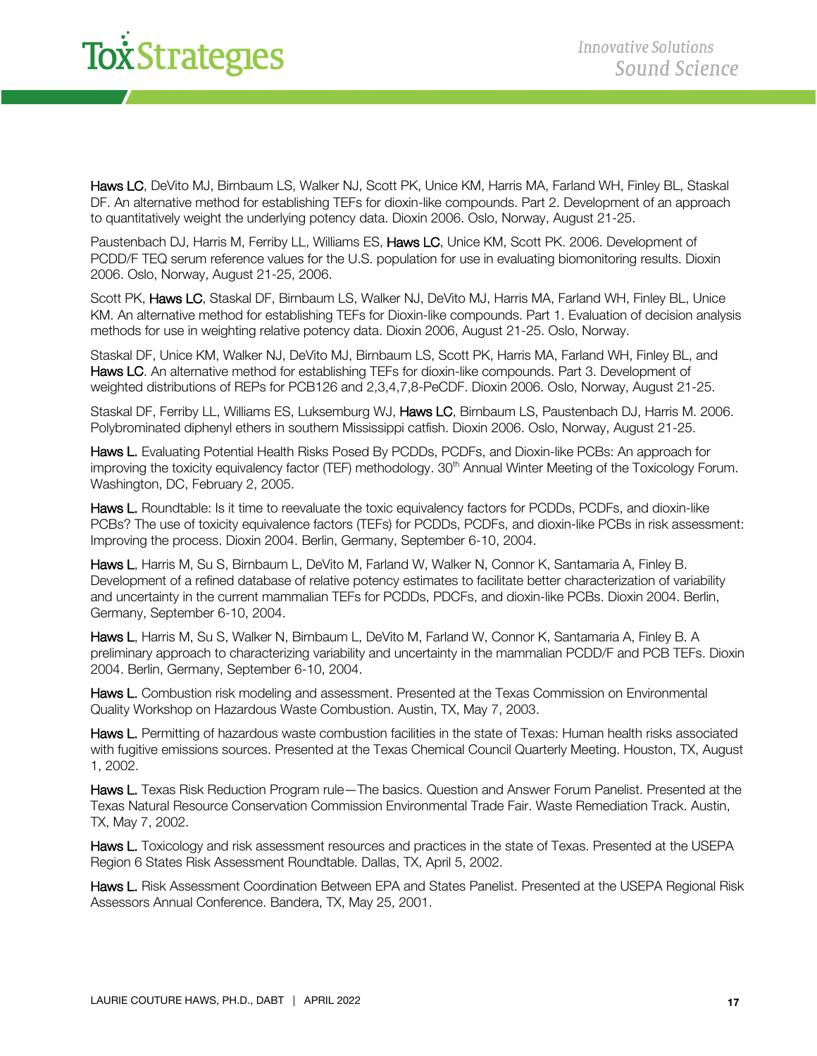# *i*<br>Xistrategies

Haws LC, DeVito MJ, Birnbaum LS, Walker NJ, Scott PK, Unice KM, Harris MA, Farland WH, Finley BL, Staskal DF. An alternative method for establishing TEFs for dioxin-like compounds. Part 2. Development of an approach to quantitatively weight the underlying potency data. Dioxin 2006. Oslo, Norway, August 21-25.

Paustenbach DJ, Harris M, Ferriby LL, Williams ES, Haws LC, Unice KM, Scott PK. 2006. Development of PCDD/F TEQ serum reference values for the U.S. population for use in evaluating biomonitoring results. Dioxin 2006. Oslo, Norway, August 21-25, 2006.

Scott PK, Haws LC, Staskal DF, Birnbaum LS, Walker NJ, DeVito MJ, Harris MA, Farland WH, Finley BL, Unice KM. An alternative method for establishing TEFs for Dioxin-like compounds. Part 1. Evaluation of decision analysis methods for use in weighting relative potency data. Dioxin 2006, August 21-25. Oslo, Norway.

Staskal DF, Unice KM, Walker NJ, DeVito MJ, Birnbaum LS, Scott PK, Harris MA, Farland WH, Finley BL, and Haws LC. An alternative method for establishing TEFs for dioxin-like compounds. Part 3. Development of weighted distributions of REPs for PCB126 and 2,3,4,7,8-PeCDF. Dioxin 2006. Oslo, Norway, August 21-25.

Staskal DF, Ferriby LL, Williams ES, Luksemburg WJ, Haws LC, Birnbaum LS, Paustenbach DJ, Harris M. 2006. Polybrominated diphenyl ethers in southern Mississippi catfish. Dioxin 2006. Oslo, Norway, August 21-25.

Haws L. Evaluating Potential Health Risks Posed By PCDDs, PCDFs, and Dioxin-like PCBs: An approach for improving the toxicity equivalency factor (TEF) methodology. 30<sup>th</sup> Annual Winter Meeting of the Toxicology Forum. Washington, DC, February 2, 2005.

Haws L. Roundtable: Is it time to reevaluate the toxic equivalency factors for PCDDs, PCDFs, and dioxin-like PCBs? The use of toxicity equivalence factors (TEFs) for PCDDs, PCDFs, and dioxin-like PCBs in risk assessment: Improving the process. Dioxin 2004. Berlin, Germany, September 6-10, 2004.

Haws L, Harris M, Su S, Birnbaum L, DeVito M, Farland W, Walker N, Connor K, Santamaria A, Finley B. Development of a refined database of relative potency estimates to facilitate better characterization of variability and uncertainty in the current mammalian TEFs for PCDDs, PDCFs, and dioxin-like PCBs. Dioxin 2004. Berlin, Germany, September 6-10, 2004.

Haws L, Harris M, Su S, Walker N, Birnbaum L, DeVito M, Farland W, Connor K, Santamaria A, Finley B. A preliminary approach to characterizing variability and uncertainty in the mammalian PCDD/F and PCB TEFs. Dioxin 2004. Berlin, Germany, September 6-10, 2004.

Haws L. Combustion risk modeling and assessment. Presented at the Texas Commission on Environmental Quality Workshop on Hazardous Waste Combustion. Austin, TX, May 7, 2003.

Haws L. Permitting of hazardous waste combustion facilities in the state of Texas: Human health risks associated with fugitive emissions sources. Presented at the Texas Chemical Council Quarterly Meeting. Houston, TX, August 1, 2002.

Haws L. Texas Risk Reduction Program rule—The basics. Question and Answer Forum Panelist. Presented at the Texas Natural Resource Conservation Commission Environmental Trade Fair. Waste Remediation Track. Austin, TX, May 7, 2002.

Haws L. Toxicology and risk assessment resources and practices in the state of Texas. Presented at the USEPA Region 6 States Risk Assessment Roundtable. Dallas, TX, April 5, 2002.

Haws L. Risk Assessment Coordination Between EPA and States Panelist. Presented at the USEPA Regional Risk Assessors Annual Conference. Bandera, TX, May 25, 2001.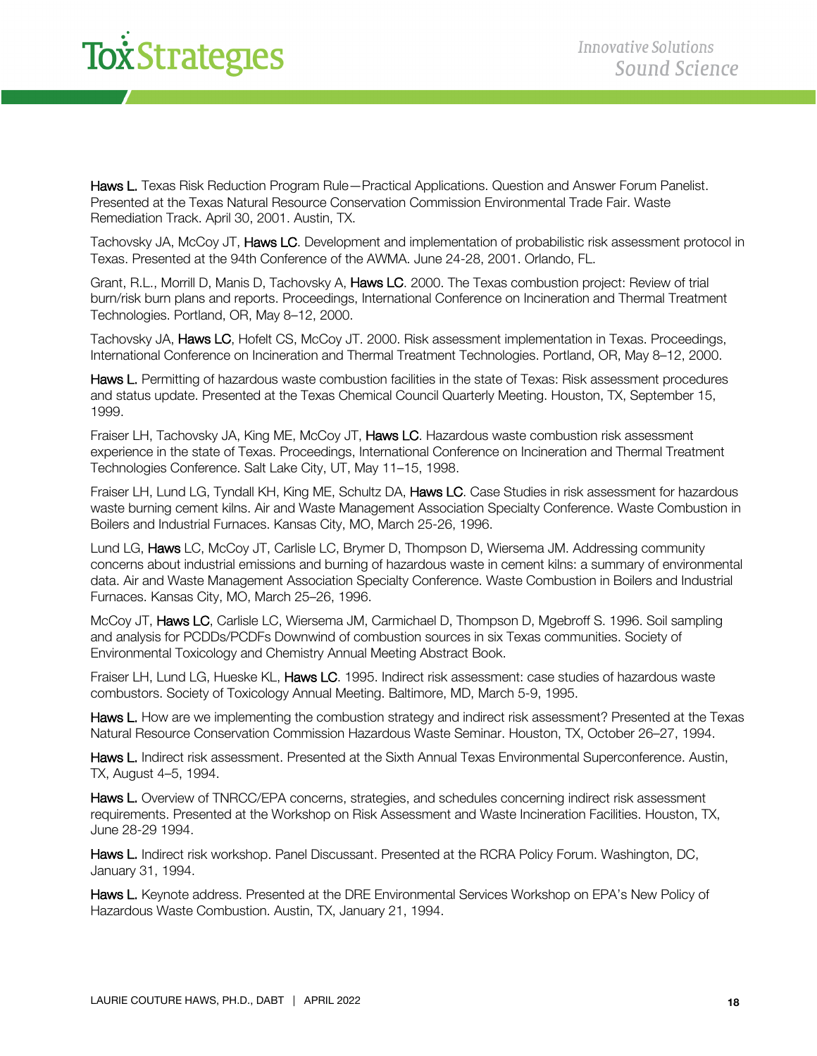Haws L. Texas Risk Reduction Program Rule—Practical Applications. Question and Answer Forum Panelist. Presented at the Texas Natural Resource Conservation Commission Environmental Trade Fair. Waste Remediation Track. April 30, 2001. Austin, TX.

Tachovsky JA, McCoy JT, Haws LC. Development and implementation of probabilistic risk assessment protocol in Texas. Presented at the 94th Conference of the AWMA. June 24-28, 2001. Orlando, FL.

Grant, R.L., Morrill D, Manis D, Tachovsky A, Haws LC. 2000. The Texas combustion project: Review of trial burn/risk burn plans and reports. Proceedings, International Conference on Incineration and Thermal Treatment Technologies. Portland, OR, May 8–12, 2000.

Tachovsky JA, Haws LC, Hofelt CS, McCoy JT. 2000. Risk assessment implementation in Texas. Proceedings, International Conference on Incineration and Thermal Treatment Technologies. Portland, OR, May 8–12, 2000.

Haws L. Permitting of hazardous waste combustion facilities in the state of Texas: Risk assessment procedures and status update. Presented at the Texas Chemical Council Quarterly Meeting. Houston, TX, September 15, 1999.

Fraiser LH, Tachovsky JA, King ME, McCoy JT, Haws LC. Hazardous waste combustion risk assessment experience in the state of Texas. Proceedings, International Conference on Incineration and Thermal Treatment Technologies Conference. Salt Lake City, UT, May 11–15, 1998.

Fraiser LH, Lund LG, Tyndall KH, King ME, Schultz DA, Haws LC. Case Studies in risk assessment for hazardous waste burning cement kilns. Air and Waste Management Association Specialty Conference. Waste Combustion in Boilers and Industrial Furnaces. Kansas City, MO, March 25-26, 1996.

Lund LG, Haws LC, McCoy JT, Carlisle LC, Brymer D, Thompson D, Wiersema JM. Addressing community concerns about industrial emissions and burning of hazardous waste in cement kilns: a summary of environmental data. Air and Waste Management Association Specialty Conference. Waste Combustion in Boilers and Industrial Furnaces. Kansas City, MO, March 25–26, 1996.

McCoy JT, Haws LC, Carlisle LC, Wiersema JM, Carmichael D, Thompson D, Mgebroff S. 1996. Soil sampling and analysis for PCDDs/PCDFs Downwind of combustion sources in six Texas communities. Society of Environmental Toxicology and Chemistry Annual Meeting Abstract Book.

Fraiser LH, Lund LG, Hueske KL, Haws LC. 1995. Indirect risk assessment: case studies of hazardous waste combustors. Society of Toxicology Annual Meeting. Baltimore, MD, March 5-9, 1995.

Haws L. How are we implementing the combustion strategy and indirect risk assessment? Presented at the Texas Natural Resource Conservation Commission Hazardous Waste Seminar. Houston, TX, October 26–27, 1994.

Haws L. Indirect risk assessment. Presented at the Sixth Annual Texas Environmental Superconference. Austin, TX, August 4–5, 1994.

Haws L. Overview of TNRCC/EPA concerns, strategies, and schedules concerning indirect risk assessment requirements. Presented at the Workshop on Risk Assessment and Waste Incineration Facilities. Houston, TX, June 28-29 1994.

Haws L. Indirect risk workshop. Panel Discussant. Presented at the RCRA Policy Forum. Washington, DC, January 31, 1994.

Haws L. Keynote address. Presented at the DRE Environmental Services Workshop on EPA's New Policy of Hazardous Waste Combustion. Austin, TX, January 21, 1994.